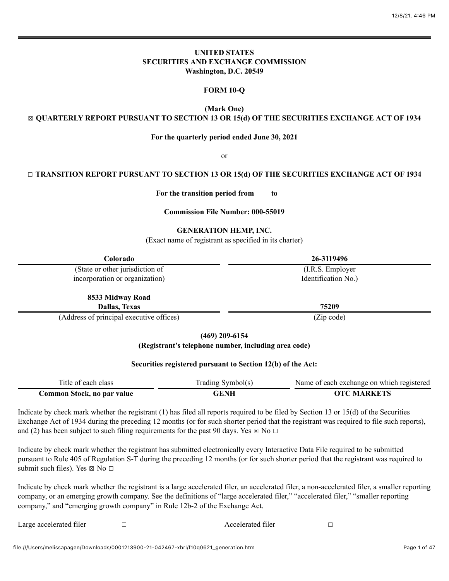# **UNITED STATES SECURITIES AND EXCHANGE COMMISSION Washington, D.C. 20549**

# **FORM 10-Q**

**(Mark One)**

# ☒ **QUARTERLY REPORT PURSUANT TO SECTION 13 OR 15(d) OF THE SECURITIES EXCHANGE ACT OF 1934**

## **For the quarterly period ended June 30, 2021**

or

# ☐ **TRANSITION REPORT PURSUANT TO SECTION 13 OR 15(d) OF THE SECURITIES EXCHANGE ACT OF 1934**

**For the transition period from to**

#### **Commission File Number: 000-55019**

#### **GENERATION HEMP, INC.**

(Exact name of registrant as specified in its charter)

| Colorado                                 | 26-3119496          |  |
|------------------------------------------|---------------------|--|
| (State or other jurisdiction of          | (I.R.S. Employer)   |  |
| incorporation or organization)           | Identification No.) |  |
| 8533 Midway Road                         |                     |  |
| <b>Dallas, Texas</b>                     | 75209               |  |
| (Address of principal executive offices) | (Zin code)          |  |

(Address of principal executive offices) (Zip code)

**(469) 209-6154**

**(Registrant's telephone number, including area code)**

## **Securities registered pursuant to Section 12(b) of the Act:**

| Title of each class        | Trading Symbol(s) | Name of each exchange on which registered |
|----------------------------|-------------------|-------------------------------------------|
| Common Stock, no par value | GENH              | <b>OTC MARKETS</b>                        |

Indicate by check mark whether the registrant (1) has filed all reports required to be filed by Section 13 or 15(d) of the Securities Exchange Act of 1934 during the preceding 12 months (or for such shorter period that the registrant was required to file such reports), and (2) has been subject to such filing requirements for the past 90 days. Yes  $\boxtimes$  No  $\Box$ 

Indicate by check mark whether the registrant has submitted electronically every Interactive Data File required to be submitted pursuant to Rule 405 of Regulation S-T during the preceding 12 months (or for such shorter period that the registrant was required to submit such files). Yes  $\boxtimes$  No  $\Box$ 

Indicate by check mark whether the registrant is a large accelerated filer, an accelerated filer, a non-accelerated filer, a smaller reporting company, or an emerging growth company. See the definitions of "large accelerated filer," "accelerated filer," "smaller reporting company," and "emerging growth company" in Rule 12b-2 of the Exchange Act.

Large accelerated filer □ □ △ △ Accelerated filer □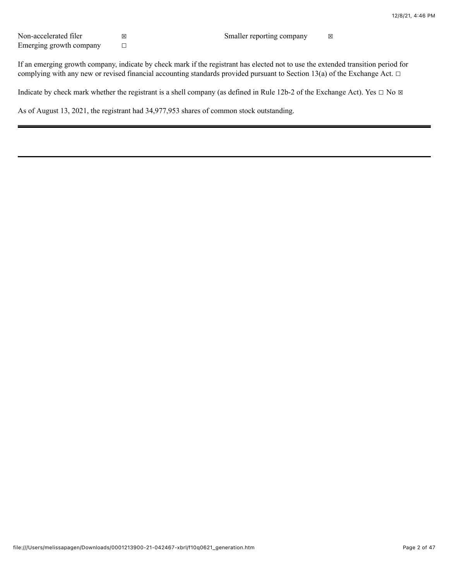Non-accelerated filer  $\boxtimes$ Emerging growth company  $□$ 

If an emerging growth company, indicate by check mark if the registrant has elected not to use the extended transition period for complying with any new or revised financial accounting standards provided pursuant to Section 13(a) of the Exchange Act.  $\Box$ 

Indicate by check mark whether the registrant is a shell company (as defined in Rule 12b-2 of the Exchange Act). Yes  $\Box$  No  $\boxtimes$ 

As of August 13, 2021, the registrant had 34,977,953 shares of common stock outstanding.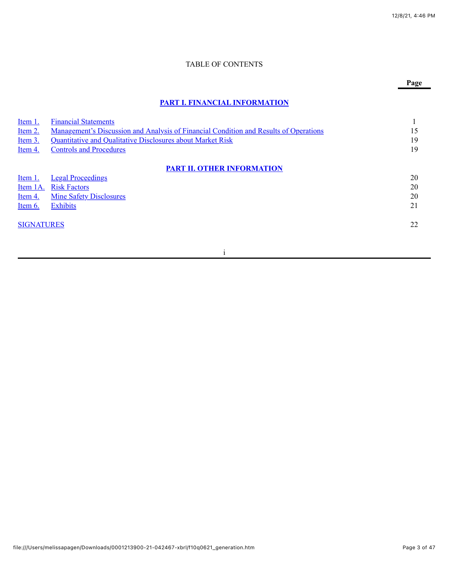# TABLE OF CONTENTS

# **Page**

# **[PART I. FINANCIAL INFORMATION](#page-6-0)**

| Item 1.           | <b>Financial Statements</b>                                                                  |    |
|-------------------|----------------------------------------------------------------------------------------------|----|
| Item $2.$         | <u>Management's Discussion and Analysis of Financial Condition and Results of Operations</u> | 15 |
| Item $3.$         | Quantitative and Qualitative Disclosures about Market Risk                                   | 19 |
| Item 4.           | <b>Controls and Procedures</b>                                                               | 19 |
|                   | <b>PART II. OTHER INFORMATION</b>                                                            |    |
| Item 1.           | <b>Legal Proceedings</b>                                                                     | 20 |
| Item 1A.          | <b>Risk Factors</b>                                                                          | 20 |
| Item 4.           | <b>Mine Safety Disclosures</b>                                                               | 20 |
| Item 6.           | <b>Exhibits</b>                                                                              | 21 |
| <b>SIGNATURES</b> |                                                                                              | 22 |
|                   |                                                                                              |    |

i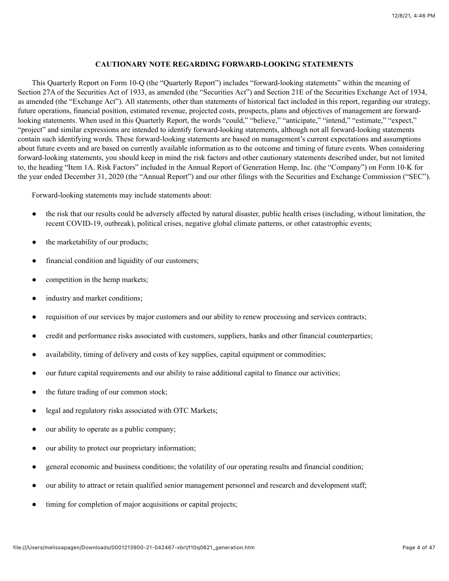# **CAUTIONARY NOTE REGARDING FORWARD-LOOKING STATEMENTS**

This Quarterly Report on Form 10-Q (the "Quarterly Report") includes "forward-looking statements" within the meaning of Section 27A of the Securities Act of 1933, as amended (the "Securities Act") and Section 21E of the Securities Exchange Act of 1934, as amended (the "Exchange Act"). All statements, other than statements of historical fact included in this report, regarding our strategy, future operations, financial position, estimated revenue, projected costs, prospects, plans and objectives of management are forwardlooking statements. When used in this Quarterly Report, the words "could," "believe," "anticipate," "intend," "estimate," "expect," "project" and similar expressions are intended to identify forward-looking statements, although not all forward-looking statements contain such identifying words. These forward-looking statements are based on management's current expectations and assumptions about future events and are based on currently available information as to the outcome and timing of future events. When considering forward-looking statements, you should keep in mind the risk factors and other cautionary statements described under, but not limited to, the heading "Item 1A. Risk Factors" included in the Annual Report of Generation Hemp, Inc. (the "Company") on Form 10-K for the year ended December 31, 2020 (the "Annual Report") and our other filings with the Securities and Exchange Commission ("SEC").

Forward-looking statements may include statements about:

- the risk that our results could be adversely affected by natural disaster, public health crises (including, without limitation, the recent COVID-19, outbreak), political crises, negative global climate patterns, or other catastrophic events;
- the marketability of our products;
- financial condition and liquidity of our customers;
- competition in the hemp markets;
- industry and market conditions;
- requisition of our services by major customers and our ability to renew processing and services contracts;
- credit and performance risks associated with customers, suppliers, banks and other financial counterparties;
- availability, timing of delivery and costs of key supplies, capital equipment or commodities;
- our future capital requirements and our ability to raise additional capital to finance our activities;
- the future trading of our common stock;
- legal and regulatory risks associated with OTC Markets;
- our ability to operate as a public company;
- our ability to protect our proprietary information;
- general economic and business conditions; the volatility of our operating results and financial condition;
- our ability to attract or retain qualified senior management personnel and research and development staff;
- timing for completion of major acquisitions or capital projects;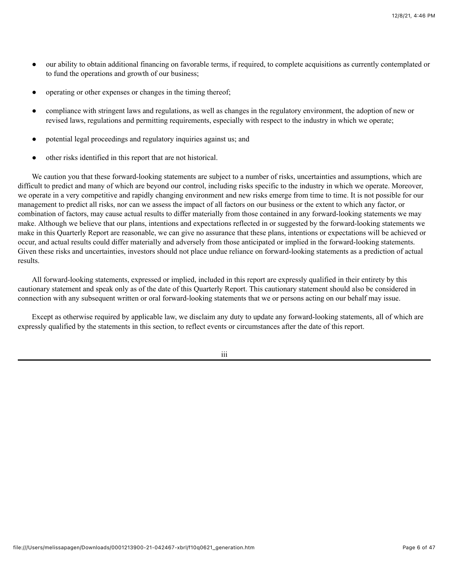- our ability to obtain additional financing on favorable terms, if required, to complete acquisitions as currently contemplated or to fund the operations and growth of our business;
- operating or other expenses or changes in the timing thereof;
- compliance with stringent laws and regulations, as well as changes in the regulatory environment, the adoption of new or revised laws, regulations and permitting requirements, especially with respect to the industry in which we operate;
- potential legal proceedings and regulatory inquiries against us; and
- other risks identified in this report that are not historical.

We caution you that these forward-looking statements are subject to a number of risks, uncertainties and assumptions, which are difficult to predict and many of which are beyond our control, including risks specific to the industry in which we operate. Moreover, we operate in a very competitive and rapidly changing environment and new risks emerge from time to time. It is not possible for our management to predict all risks, nor can we assess the impact of all factors on our business or the extent to which any factor, or combination of factors, may cause actual results to differ materially from those contained in any forward-looking statements we may make. Although we believe that our plans, intentions and expectations reflected in or suggested by the forward-looking statements we make in this Quarterly Report are reasonable, we can give no assurance that these plans, intentions or expectations will be achieved or occur, and actual results could differ materially and adversely from those anticipated or implied in the forward-looking statements. Given these risks and uncertainties, investors should not place undue reliance on forward-looking statements as a prediction of actual results.

All forward-looking statements, expressed or implied, included in this report are expressly qualified in their entirety by this cautionary statement and speak only as of the date of this Quarterly Report. This cautionary statement should also be considered in connection with any subsequent written or oral forward-looking statements that we or persons acting on our behalf may issue.

Except as otherwise required by applicable law, we disclaim any duty to update any forward-looking statements, all of which are expressly qualified by the statements in this section, to reflect events or circumstances after the date of this report.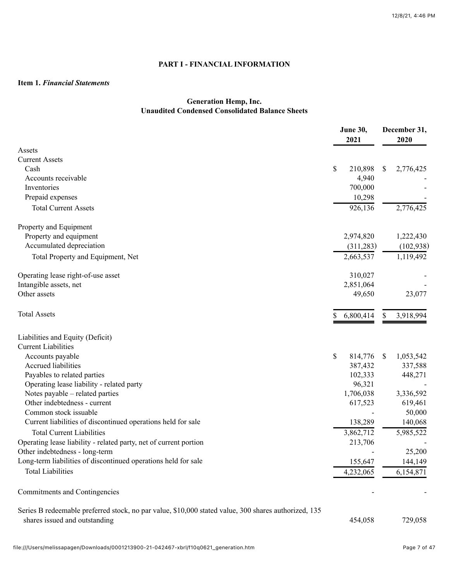# **PART I - FINANCIAL INFORMATION**

# <span id="page-6-1"></span><span id="page-6-0"></span>**Item 1.** *Financial Statements*

# **Generation Hemp, Inc. Unaudited Condensed Consolidated Balance Sheets**

|                                                                                                                                       | June 30,<br>2021 |               | December 31,<br>2020 |
|---------------------------------------------------------------------------------------------------------------------------------------|------------------|---------------|----------------------|
| Assets                                                                                                                                |                  |               |                      |
| <b>Current Assets</b>                                                                                                                 |                  |               |                      |
| Cash                                                                                                                                  | \$<br>210,898    | \$            | 2,776,425            |
| Accounts receivable                                                                                                                   | 4,940            |               |                      |
| Inventories                                                                                                                           | 700,000          |               |                      |
| Prepaid expenses                                                                                                                      | 10,298           |               |                      |
| <b>Total Current Assets</b>                                                                                                           | 926,136          |               | 2,776,425            |
| Property and Equipment                                                                                                                |                  |               |                      |
| Property and equipment                                                                                                                | 2,974,820        |               | 1,222,430            |
| Accumulated depreciation                                                                                                              | (311, 283)       |               | (102, 938)           |
| Total Property and Equipment, Net                                                                                                     | 2,663,537        |               | 1,119,492            |
| Operating lease right-of-use asset                                                                                                    | 310,027          |               |                      |
| Intangible assets, net                                                                                                                | 2,851,064        |               |                      |
| Other assets                                                                                                                          | 49,650           |               | 23,077               |
| <b>Total Assets</b>                                                                                                                   | 6,800,414        | <sup>\$</sup> | 3,918,994            |
| Liabilities and Equity (Deficit)                                                                                                      |                  |               |                      |
| <b>Current Liabilities</b>                                                                                                            |                  |               |                      |
| Accounts payable                                                                                                                      | \$<br>814,776    | S             | 1,053,542            |
| Accrued liabilities                                                                                                                   | 387,432          |               | 337,588              |
| Payables to related parties                                                                                                           | 102,333          |               | 448,271              |
| Operating lease liability - related party                                                                                             | 96,321           |               |                      |
| Notes payable – related parties                                                                                                       | 1,706,038        |               | 3,336,592            |
| Other indebtedness - current                                                                                                          | 617,523          |               | 619,461              |
| Common stock issuable                                                                                                                 |                  |               | 50,000               |
| Current liabilities of discontinued operations held for sale                                                                          | 138,289          |               | 140,068              |
| <b>Total Current Liabilities</b>                                                                                                      | 3,862,712        |               | 5,985,522            |
| Operating lease liability - related party, net of current portion                                                                     | 213,706          |               |                      |
| Other indebtedness - long-term                                                                                                        |                  |               | 25,200               |
| Long-term liabilities of discontinued operations held for sale                                                                        | 155,647          |               | 144,149              |
| <b>Total Liabilities</b>                                                                                                              | 4,232,065        |               | 6,154,871            |
| Commitments and Contingencies                                                                                                         |                  |               |                      |
| Series B redeemable preferred stock, no par value, \$10,000 stated value, 300 shares authorized, 135<br>shares issued and outstanding | 454,058          |               | 729,058              |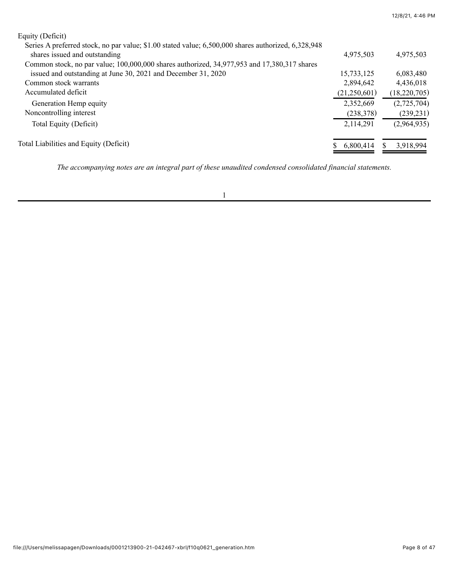| Equity (Deficit)                                                                                    |              |                |
|-----------------------------------------------------------------------------------------------------|--------------|----------------|
| Series A preferred stock, no par value; \$1.00 stated value; 6,500,000 shares authorized, 6,328,948 |              |                |
| shares issued and outstanding                                                                       | 4,975,503    | 4,975,503      |
| Common stock, no par value; 100,000,000 shares authorized, 34,977,953 and 17,380,317 shares         |              |                |
| issued and outstanding at June 30, 2021 and December 31, 2020                                       | 15,733,125   | 6,083,480      |
| Common stock warrants                                                                               | 2,894,642    | 4,436,018      |
| Accumulated deficit                                                                                 | (21,250,601) | (18, 220, 705) |
| Generation Hemp equity                                                                              | 2,352,669    | (2,725,704)    |
| Noncontrolling interest                                                                             | (238, 378)   | (239, 231)     |
| Total Equity (Deficit)                                                                              | 2,114,291    | (2,964,935)    |
| Total Liabilities and Equity (Deficit)                                                              | 6,800,414    | 3,918,994      |
|                                                                                                     |              |                |

*The accompanying notes are an integral part of these unaudited condensed consolidated financial statements.*

12/8/21, 4:46 PM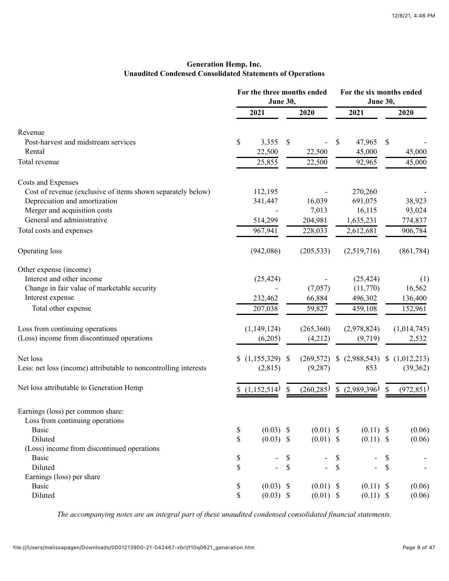# **Generation Hemp, Inc. Unaudited Condensed Consolidated Statements of Operations**

|                                                                  | For the three months ended<br><b>June 30,</b> |    |             | For the six months ended<br>June 30, |               |                           |             |
|------------------------------------------------------------------|-----------------------------------------------|----|-------------|--------------------------------------|---------------|---------------------------|-------------|
|                                                                  | 2021                                          |    | 2020        |                                      | 2021          |                           | 2020        |
| Revenue                                                          |                                               |    |             |                                      |               |                           |             |
| Post-harvest and midstream services                              | \$<br>3,355                                   | \$ |             | \$                                   | 47,965        | \$                        |             |
| Rental                                                           | 22,500                                        |    | 22,500      |                                      | 45,000        |                           | 45,000      |
| Total revenue                                                    | 25,855                                        |    | 22,500      |                                      | 92,965        |                           | 45,000      |
| Costs and Expenses                                               |                                               |    |             |                                      |               |                           |             |
| Cost of revenue (exclusive of items shown separately below)      | 112,195                                       |    |             |                                      | 270,260       |                           |             |
| Depreciation and amortization                                    | 341,447                                       |    | 16,039      |                                      | 691,075       |                           | 38,923      |
| Merger and acquisition costs                                     |                                               |    | 7,013       |                                      | 16,115        |                           | 93,024      |
| General and administrative                                       | 514,299                                       |    | 204,981     |                                      | 1,635,231     |                           | 774,837     |
|                                                                  |                                               |    |             |                                      |               |                           |             |
| Total costs and expenses                                         | 967,941                                       |    | 228,033     |                                      | 2,612,681     |                           | 906,784     |
| Operating loss                                                   | (942,086)                                     |    | (205, 533)  |                                      | (2,519,716)   |                           | (861, 784)  |
| Other expense (income)                                           |                                               |    |             |                                      |               |                           |             |
| Interest and other income                                        | (25, 424)                                     |    |             |                                      | (25, 424)     |                           | (1)         |
| Change in fair value of marketable security                      |                                               |    | (7,057)     |                                      | (11,770)      |                           | 16,562      |
| Interest expense                                                 | 232,462                                       |    | 66,884      |                                      | 496,302       |                           | 136,400     |
| Total other expense                                              | 207,038                                       |    | 59,827      |                                      | 459,108       |                           | 152,961     |
| Loss from continuing operations                                  | (1, 149, 124)                                 |    | (265,360)   |                                      | (2,978,824)   |                           | (1,014,745) |
| (Loss) income from discontinued operations                       | (6,205)                                       |    | (4,212)     |                                      | (9,719)       |                           | 2,532       |
| Net loss                                                         | $(1,155,329)$ \$                              |    | (269, 572)  |                                      | (2,988,543)   | $\boldsymbol{\mathsf{S}}$ | (1,012,213) |
| Less: net loss (income) attributable to noncontrolling interests | (2,815)                                       |    | (9, 287)    |                                      | 853           |                           | (39,362)    |
| Net loss attributable to Generation Hemp                         | (1,152,514)                                   | S  | (260, 285)  |                                      | \$(2,989,396) | \$                        | (972, 851)  |
| Earnings (loss) per common share:                                |                                               |    |             |                                      |               |                           |             |
| Loss from continuing operations                                  |                                               |    |             |                                      |               |                           |             |
| <b>Basic</b>                                                     | \$<br>$(0.03)$ \$                             |    | $(0.01)$ \$ |                                      | $(0.11)$ \$   |                           | (0.06)      |
| Diluted                                                          | \$<br>$(0.03)$ \$                             |    | $(0.01)$ \$ |                                      | $(0.11)$ \$   |                           | (0.06)      |
| (Loss) income from discontinued operations                       |                                               |    |             |                                      |               |                           |             |
| <b>Basic</b>                                                     | \$<br>$\overline{\phantom{a}}$                | \$ |             | \$                                   |               | \$                        |             |
| Diluted                                                          | \$<br>$\overline{a}$                          | \$ |             | $\mathcal{S}$                        |               | \$                        |             |
| Earnings (loss) per share                                        |                                               |    |             |                                      |               |                           |             |
| <b>Basic</b>                                                     |                                               |    | $(0.01)$ \$ |                                      |               |                           |             |
|                                                                  | \$<br>$(0.03)$ \$                             |    |             |                                      | $(0.11)$ \$   |                           | (0.06)      |
| Diluted                                                          | \$<br>$(0.03)$ \$                             |    | $(0.01)$ \$ |                                      | $(0.11)$ \$   |                           | (0.06)      |

*The accompanying notes are an integral part of these unaudited condensed consolidated financial statements.*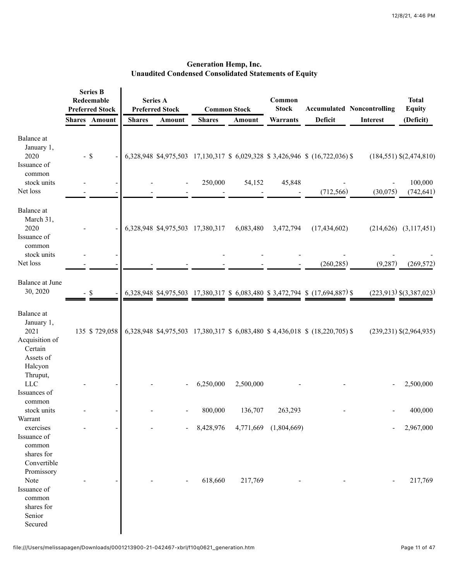|                                                                                | <b>Series B</b><br>Redeemable<br><b>Preferred Stock</b> |                      | <b>Series A</b><br><b>Preferred Stock</b> |        |                                  |               | <b>Common Stock</b>   | Common<br><b>Stock</b>                                                        |                 | <b>Accumulated Noncontrolling</b>          | <b>Total</b><br><b>Equity</b> |
|--------------------------------------------------------------------------------|---------------------------------------------------------|----------------------|-------------------------------------------|--------|----------------------------------|---------------|-----------------------|-------------------------------------------------------------------------------|-----------------|--------------------------------------------|-------------------------------|
|                                                                                |                                                         | <b>Shares</b> Amount | <b>Shares</b>                             | Amount | <b>Shares</b>                    | <b>Amount</b> | <b>Warrants</b>       | Deficit                                                                       | <b>Interest</b> | (Deficit)                                  |                               |
| Balance at<br>January 1,<br>2020<br>Issuance of<br>common<br>stock units       |                                                         | $-$ \$               |                                           |        | 250,000                          | 54,152        | 45,848                | 6,328,948 \$4,975,503 17,130,317 \$ 6,029,328 \$ 3,426,946 \$ (16,722,036) \$ |                 | $(184, 551)$ \$ $(2, 474, 810)$<br>100,000 |                               |
| Net loss                                                                       |                                                         |                      |                                           |        |                                  |               |                       | (712, 566)                                                                    | (30,075)        | (742, 641)                                 |                               |
| Balance at<br>March 31,<br>2020<br>Issuance of<br>common<br>stock units        |                                                         |                      |                                           |        | 6,328,948 \$4,975,503 17,380,317 | 6,083,480     | 3,472,794             | (17, 434, 602)                                                                |                 | $(214, 626)$ $(3, 117, 451)$               |                               |
| Net loss                                                                       |                                                         |                      |                                           |        |                                  |               |                       | (260, 285)                                                                    | (9, 287)        | (269, 572)                                 |                               |
| Balance at June<br>30, 2020                                                    |                                                         | -S                   |                                           |        |                                  |               |                       | 6,328,948 \$4,975,503 17,380,317 \$ 6,083,480 \$ 3,472,794 \$ (17,694,887) \$ |                 | $(223,913)$ \$ $(3,387,023)$               |                               |
| Balance at<br>January 1,<br>2021<br>Acquisition of<br>Certain<br>Assets of     |                                                         | 135 \$729,058        |                                           |        |                                  |               |                       | 6,328,948 \$4,975,503 17,380,317 \$ 6,083,480 \$ 4,436,018 \$ (18,220,705) \$ |                 | $(239,231)$ \$ $(2,964,935)$               |                               |
| Halcyon<br>Thruput,<br>LLC<br>Issuances of                                     |                                                         |                      |                                           |        | 6,250,000                        | 2,500,000     |                       |                                                                               |                 | 2,500,000                                  |                               |
| common<br>stock units                                                          |                                                         |                      |                                           |        | 800,000                          | 136,707       | 263,293               |                                                                               |                 | 400,000                                    |                               |
| Warrant<br>exercises<br>Issuance of<br>common<br>shares for<br>Convertible     |                                                         |                      |                                           |        | 8,428,976                        |               | 4,771,669 (1,804,669) |                                                                               |                 | 2,967,000                                  |                               |
| Promissory<br>Note<br>Issuance of<br>common<br>shares for<br>Senior<br>Secured |                                                         |                      |                                           |        | 618,660                          | 217,769       |                       |                                                                               |                 | 217,769                                    |                               |

# **Generation Hemp, Inc. Unaudited Condensed Consolidated Statements of Equity**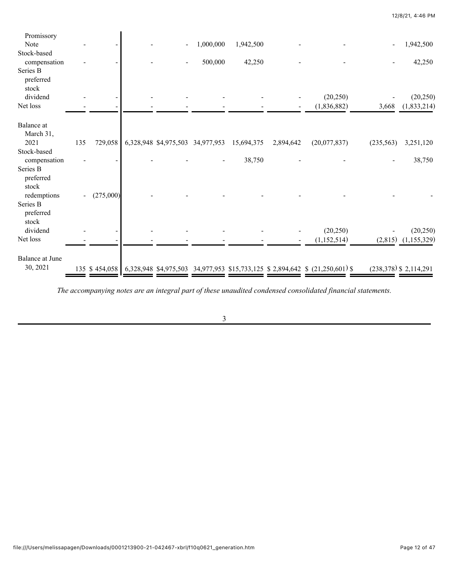| Promissory<br>Note             |     |               |                                  | 1,000,000 | 1,942,500  |           |                                                                              |            | 1,942,500                |
|--------------------------------|-----|---------------|----------------------------------|-----------|------------|-----------|------------------------------------------------------------------------------|------------|--------------------------|
| Stock-based                    |     |               |                                  |           |            |           |                                                                              |            |                          |
| compensation                   |     |               |                                  | 500,000   | 42,250     |           |                                                                              |            | 42,250                   |
| Series B<br>preferred<br>stock |     |               |                                  |           |            |           |                                                                              |            |                          |
| dividend                       |     |               |                                  |           |            |           | (20, 250)                                                                    |            | (20, 250)                |
| Net loss                       |     |               |                                  |           |            |           | (1,836,882)                                                                  | 3,668      | (1,833,214)              |
| Balance at<br>March 31,        |     |               |                                  |           |            |           |                                                                              |            |                          |
| 2021                           | 135 | 729,058       | 6,328,948 \$4,975,503 34,977,953 |           | 15,694,375 | 2,894,642 | (20,077,837)                                                                 | (235, 563) | 3,251,120                |
| Stock-based<br>compensation    |     |               |                                  |           | 38,750     |           |                                                                              |            | 38,750                   |
| Series B<br>preferred<br>stock |     |               |                                  |           |            |           |                                                                              |            |                          |
| redemptions                    |     | (275,000)     |                                  |           |            |           |                                                                              |            |                          |
| Series B<br>preferred<br>stock |     |               |                                  |           |            |           |                                                                              |            |                          |
| dividend                       |     |               |                                  |           |            |           | (20, 250)                                                                    |            | (20, 250)                |
| Net loss                       |     |               |                                  |           |            |           | (1,152,514)                                                                  |            | $(2,815)$ $(1,155,329)$  |
| Balance at June                |     |               |                                  |           |            |           |                                                                              |            |                          |
| 30, 2021                       |     | 135 \$454,058 |                                  |           |            |           | 6,328,948 \$4,975,503 34,977,953 \$15,733,125 \$2,894,642 \$ (21,250,601) \$ |            | $(238,378)$ \$ 2,114,291 |

*The accompanying notes are an integral part of these unaudited condensed consolidated financial statements.*

12/8/21, 4:46 PM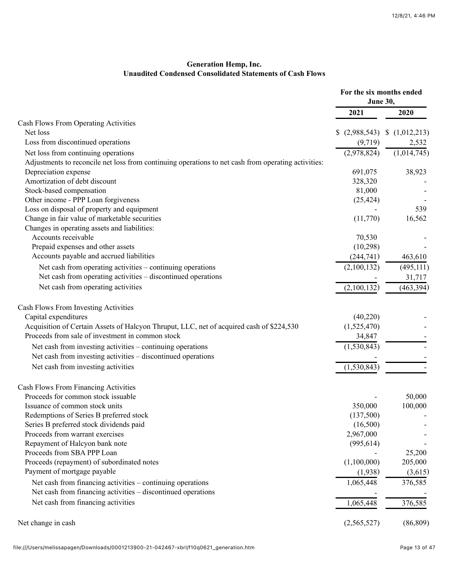# **Generation Hemp, Inc. Unaudited Condensed Consolidated Statements of Cash Flows**

|                                                                                                     | For the six months ended<br>June 30, |               |
|-----------------------------------------------------------------------------------------------------|--------------------------------------|---------------|
|                                                                                                     | 2021                                 | 2020          |
| Cash Flows From Operating Activities                                                                |                                      |               |
| Net loss                                                                                            | (2,988,543)                          | \$(1,012,213) |
| Loss from discontinued operations                                                                   | (9,719)                              | 2,532         |
| Net loss from continuing operations                                                                 | (2,978,824)                          | (1,014,745)   |
| Adjustments to reconcile net loss from continuing operations to net cash from operating activities: |                                      |               |
| Depreciation expense                                                                                | 691,075                              | 38,923        |
| Amortization of debt discount                                                                       | 328,320                              |               |
| Stock-based compensation                                                                            | 81,000                               |               |
| Other income - PPP Loan forgiveness                                                                 | (25, 424)                            |               |
| Loss on disposal of property and equipment                                                          |                                      | 539           |
| Change in fair value of marketable securities                                                       | (11,770)                             | 16,562        |
| Changes in operating assets and liabilities:                                                        |                                      |               |
| Accounts receivable                                                                                 | 70,530                               |               |
| Prepaid expenses and other assets                                                                   | (10, 298)                            |               |
| Accounts payable and accrued liabilities                                                            | (244,741)                            | 463,610       |
| Net cash from operating activities – continuing operations                                          | (2,100,132)                          | (495, 111)    |
| Net cash from operating activities – discontinued operations                                        |                                      | 31,717        |
| Net cash from operating activities                                                                  | (2,100,132)                          | (463, 394)    |
| Cash Flows From Investing Activities                                                                |                                      |               |
| Capital expenditures                                                                                | (40,220)                             |               |
| Acquisition of Certain Assets of Halcyon Thruput, LLC, net of acquired cash of \$224,530            | (1,525,470)                          |               |
| Proceeds from sale of investment in common stock                                                    | 34,847                               |               |
| Net cash from investing activities - continuing operations                                          | (1, 530, 843)                        |               |
| Net cash from investing activities – discontinued operations                                        |                                      |               |
| Net cash from investing activities                                                                  | (1, 530, 843)                        |               |
| Cash Flows From Financing Activities                                                                |                                      |               |
| Proceeds for common stock issuable                                                                  |                                      | 50,000        |
| Issuance of common stock units                                                                      | 350,000                              | 100,000       |
| Redemptions of Series B preferred stock                                                             | (137,500)                            |               |
| Series B preferred stock dividends paid                                                             | (16,500)                             |               |
| Proceeds from warrant exercises                                                                     | 2,967,000                            |               |
| Repayment of Halcyon bank note                                                                      | (995, 614)                           |               |
| Proceeds from SBA PPP Loan                                                                          |                                      | 25,200        |
| Proceeds (repayment) of subordinated notes                                                          | (1,100,000)                          | 205,000       |
| Payment of mortgage payable                                                                         | (1,938)                              | (3,615)       |
| Net cash from financing activities – continuing operations                                          | 1,065,448                            | 376,585       |
| Net cash from financing activities – discontinued operations                                        |                                      |               |
| Net cash from financing activities                                                                  | 1,065,448                            | 376,585       |
| Net change in cash                                                                                  | (2,565,527)                          | (86, 809)     |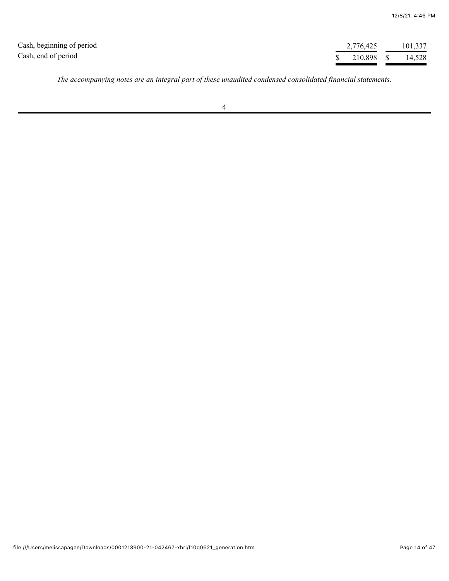| Cash, beginning of period | 2,776,425  | 101,337 |
|---------------------------|------------|---------|
| Cash, end of period       | 210,898 \$ | 14,528  |

*The accompanying notes are an integral part of these unaudited condensed consolidated financial statements.*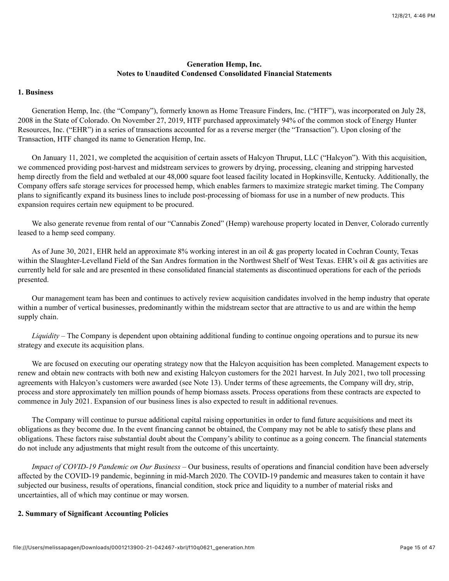# **Generation Hemp, Inc. Notes to Unaudited Condensed Consolidated Financial Statements**

# **1. Business**

Generation Hemp, Inc. (the "Company"), formerly known as Home Treasure Finders, Inc. ("HTF"), was incorporated on July 28, 2008 in the State of Colorado. On November 27, 2019, HTF purchased approximately 94% of the common stock of Energy Hunter Resources, Inc. ("EHR") in a series of transactions accounted for as a reverse merger (the "Transaction"). Upon closing of the Transaction, HTF changed its name to Generation Hemp, Inc.

On January 11, 2021, we completed the acquisition of certain assets of Halcyon Thruput, LLC ("Halcyon"). With this acquisition, we commenced providing post-harvest and midstream services to growers by drying, processing, cleaning and stripping harvested hemp directly from the field and wetbaled at our 48,000 square foot leased facility located in Hopkinsville, Kentucky. Additionally, the Company offers safe storage services for processed hemp, which enables farmers to maximize strategic market timing. The Company plans to significantly expand its business lines to include post-processing of biomass for use in a number of new products. This expansion requires certain new equipment to be procured.

We also generate revenue from rental of our "Cannabis Zoned" (Hemp) warehouse property located in Denver, Colorado currently leased to a hemp seed company.

As of June 30, 2021, EHR held an approximate 8% working interest in an oil & gas property located in Cochran County, Texas within the Slaughter-Levelland Field of the San Andres formation in the Northwest Shelf of West Texas. EHR's oil & gas activities are currently held for sale and are presented in these consolidated financial statements as discontinued operations for each of the periods presented.

Our management team has been and continues to actively review acquisition candidates involved in the hemp industry that operate within a number of vertical businesses, predominantly within the midstream sector that are attractive to us and are within the hemp supply chain.

*Liquidity –* The Company is dependent upon obtaining additional funding to continue ongoing operations and to pursue its new strategy and execute its acquisition plans.

We are focused on executing our operating strategy now that the Halcyon acquisition has been completed. Management expects to renew and obtain new contracts with both new and existing Halcyon customers for the 2021 harvest. In July 2021, two toll processing agreements with Halcyon's customers were awarded (see Note 13). Under terms of these agreements, the Company will dry, strip, process and store approximately ten million pounds of hemp biomass assets. Process operations from these contracts are expected to commence in July 2021. Expansion of our business lines is also expected to result in additional revenues.

The Company will continue to pursue additional capital raising opportunities in order to fund future acquisitions and meet its obligations as they become due. In the event financing cannot be obtained, the Company may not be able to satisfy these plans and obligations. These factors raise substantial doubt about the Company's ability to continue as a going concern. The financial statements do not include any adjustments that might result from the outcome of this uncertainty.

*Impact of COVID-19 Pandemic on Our Business –* Our business, results of operations and financial condition have been adversely affected by the COVID-19 pandemic, beginning in mid-March 2020. The COVID-19 pandemic and measures taken to contain it have subjected our business, results of operations, financial condition, stock price and liquidity to a number of material risks and uncertainties, all of which may continue or may worsen.

## **2. Summary of Significant Accounting Policies**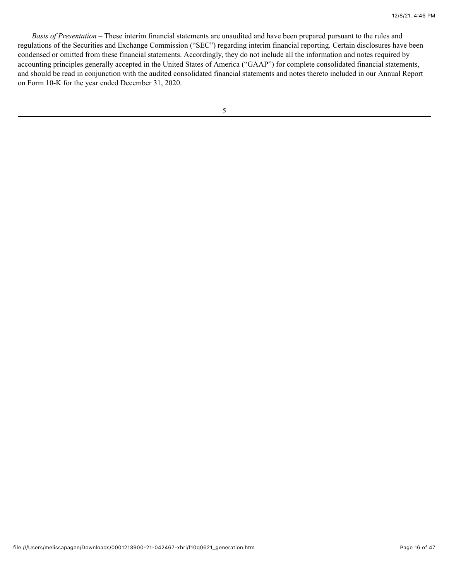*Basis of Presentation* – These interim financial statements are unaudited and have been prepared pursuant to the rules and regulations of the Securities and Exchange Commission ("SEC") regarding interim financial reporting. Certain disclosures have been condensed or omitted from these financial statements. Accordingly, they do not include all the information and notes required by accounting principles generally accepted in the United States of America ("GAAP") for complete consolidated financial statements, and should be read in conjunction with the audited consolidated financial statements and notes thereto included in our Annual Report on Form 10-K for the year ended December 31, 2020.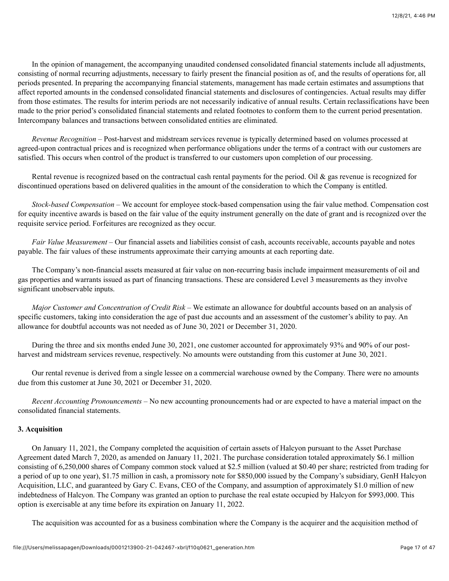In the opinion of management, the accompanying unaudited condensed consolidated financial statements include all adjustments, consisting of normal recurring adjustments, necessary to fairly present the financial position as of, and the results of operations for, all periods presented. In preparing the accompanying financial statements, management has made certain estimates and assumptions that affect reported amounts in the condensed consolidated financial statements and disclosures of contingencies. Actual results may differ from those estimates. The results for interim periods are not necessarily indicative of annual results. Certain reclassifications have been made to the prior period's consolidated financial statements and related footnotes to conform them to the current period presentation. Intercompany balances and transactions between consolidated entities are eliminated.

*Revenue Recognition* – Post-harvest and midstream services revenue is typically determined based on volumes processed at agreed-upon contractual prices and is recognized when performance obligations under the terms of a contract with our customers are satisfied. This occurs when control of the product is transferred to our customers upon completion of our processing.

Rental revenue is recognized based on the contractual cash rental payments for the period. Oil & gas revenue is recognized for discontinued operations based on delivered qualities in the amount of the consideration to which the Company is entitled.

*Stock-based Compensation –* We account for employee stock-based compensation using the fair value method. Compensation cost for equity incentive awards is based on the fair value of the equity instrument generally on the date of grant and is recognized over the requisite service period. Forfeitures are recognized as they occur.

*Fair Value Measurement* – Our financial assets and liabilities consist of cash, accounts receivable, accounts payable and notes payable. The fair values of these instruments approximate their carrying amounts at each reporting date.

The Company's non-financial assets measured at fair value on non-recurring basis include impairment measurements of oil and gas properties and warrants issued as part of financing transactions. These are considered Level 3 measurements as they involve significant unobservable inputs.

*Major Customer and Concentration of Credit Risk* – We estimate an allowance for doubtful accounts based on an analysis of specific customers, taking into consideration the age of past due accounts and an assessment of the customer's ability to pay. An allowance for doubtful accounts was not needed as of June 30, 2021 or December 31, 2020.

During the three and six months ended June 30, 2021, one customer accounted for approximately 93% and 90% of our postharvest and midstream services revenue, respectively. No amounts were outstanding from this customer at June 30, 2021.

Our rental revenue is derived from a single lessee on a commercial warehouse owned by the Company. There were no amounts due from this customer at June 30, 2021 or December 31, 2020.

*Recent Accounting Pronouncements –* No new accounting pronouncements had or are expected to have a material impact on the consolidated financial statements.

## **3. Acquisition**

On January 11, 2021, the Company completed the acquisition of certain assets of Halcyon pursuant to the Asset Purchase Agreement dated March 7, 2020, as amended on January 11, 2021. The purchase consideration totaled approximately \$6.1 million consisting of 6,250,000 shares of Company common stock valued at \$2.5 million (valued at \$0.40 per share; restricted from trading for a period of up to one year), \$1.75 million in cash, a promissory note for \$850,000 issued by the Company's subsidiary, GenH Halcyon Acquisition, LLC, and guaranteed by Gary C. Evans, CEO of the Company, and assumption of approximately \$1.0 million of new indebtedness of Halcyon. The Company was granted an option to purchase the real estate occupied by Halcyon for \$993,000. This option is exercisable at any time before its expiration on January 11, 2022.

The acquisition was accounted for as a business combination where the Company is the acquirer and the acquisition method of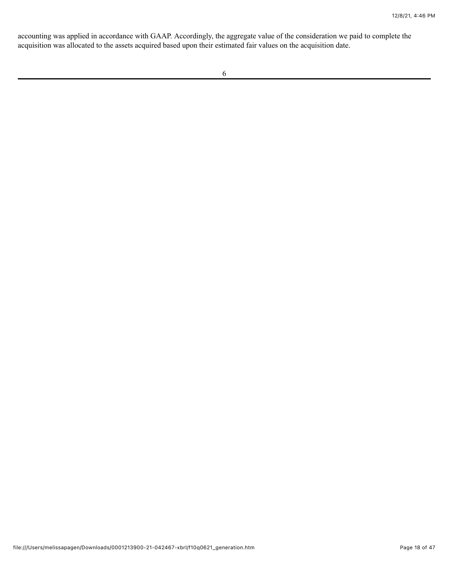accounting was applied in accordance with GAAP. Accordingly, the aggregate value of the consideration we paid to complete the acquisition was allocated to the assets acquired based upon their estimated fair values on the acquisition date.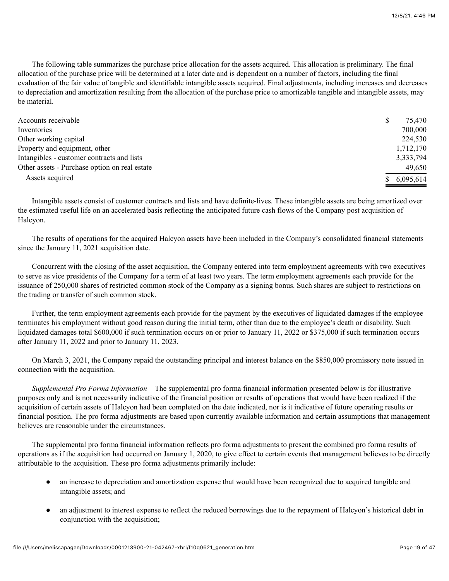The following table summarizes the purchase price allocation for the assets acquired. This allocation is preliminary. The final allocation of the purchase price will be determined at a later date and is dependent on a number of factors, including the final evaluation of the fair value of tangible and identifiable intangible assets acquired. Final adjustments, including increases and decreases to depreciation and amortization resulting from the allocation of the purchase price to amortizable tangible and intangible assets, may be material.

| Accounts receivable                           | 75,470      |
|-----------------------------------------------|-------------|
| Inventories                                   | 700,000     |
| Other working capital                         | 224,530     |
| Property and equipment, other                 | 1,712,170   |
| Intangibles - customer contracts and lists    | 3,333,794   |
| Other assets - Purchase option on real estate | 49,650      |
| Assets acquired                               | \$6,095,614 |

Intangible assets consist of customer contracts and lists and have definite-lives. These intangible assets are being amortized over the estimated useful life on an accelerated basis reflecting the anticipated future cash flows of the Company post acquisition of Halcyon.

The results of operations for the acquired Halcyon assets have been included in the Company's consolidated financial statements since the January 11, 2021 acquisition date.

Concurrent with the closing of the asset acquisition, the Company entered into term employment agreements with two executives to serve as vice presidents of the Company for a term of at least two years. The term employment agreements each provide for the issuance of 250,000 shares of restricted common stock of the Company as a signing bonus. Such shares are subject to restrictions on the trading or transfer of such common stock.

Further, the term employment agreements each provide for the payment by the executives of liquidated damages if the employee terminates his employment without good reason during the initial term, other than due to the employee's death or disability. Such liquidated damages total \$600,000 if such termination occurs on or prior to January 11, 2022 or \$375,000 if such termination occurs after January 11, 2022 and prior to January 11, 2023.

On March 3, 2021, the Company repaid the outstanding principal and interest balance on the \$850,000 promissory note issued in connection with the acquisition.

*Supplemental Pro Forma Information* – The supplemental pro forma financial information presented below is for illustrative purposes only and is not necessarily indicative of the financial position or results of operations that would have been realized if the acquisition of certain assets of Halcyon had been completed on the date indicated, nor is it indicative of future operating results or financial position. The pro forma adjustments are based upon currently available information and certain assumptions that management believes are reasonable under the circumstances.

The supplemental pro forma financial information reflects pro forma adjustments to present the combined pro forma results of operations as if the acquisition had occurred on January 1, 2020, to give effect to certain events that management believes to be directly attributable to the acquisition. These pro forma adjustments primarily include:

- an increase to depreciation and amortization expense that would have been recognized due to acquired tangible and intangible assets; and
- an adjustment to interest expense to reflect the reduced borrowings due to the repayment of Halcyon's historical debt in conjunction with the acquisition;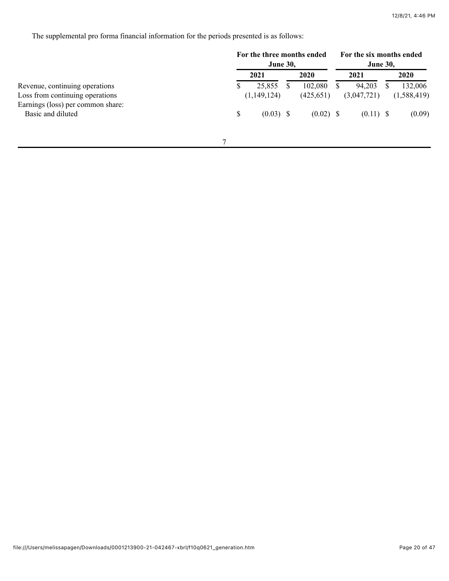The supplemental pro forma financial information for the periods presented is as follows:

|                                   | For the three months ended<br><b>June 30,</b> |             |          |             | For the six months ended<br><b>June 30,</b> |             |   |             |
|-----------------------------------|-----------------------------------------------|-------------|----------|-------------|---------------------------------------------|-------------|---|-------------|
|                                   |                                               | 2021        |          | 2020        |                                             | 2021        |   | 2020        |
| Revenue, continuing operations    |                                               | 25,855      | <b>S</b> | 102,080     |                                             | 94,203      | ъ | 132,006     |
| Loss from continuing operations   |                                               | (1,149,124) |          | (425, 651)  |                                             | (3,047,721) |   | (1,588,419) |
| Earnings (loss) per common share: |                                               |             |          |             |                                             |             |   |             |
| Basic and diluted                 | \$                                            | $(0.03)$ \$ |          | $(0.02)$ \$ |                                             | $(0.11)$ \$ |   | (0.09)      |
|                                   |                                               |             |          |             |                                             |             |   |             |
|                                   |                                               |             |          |             |                                             |             |   |             |
|                                   |                                               |             |          |             |                                             |             |   |             |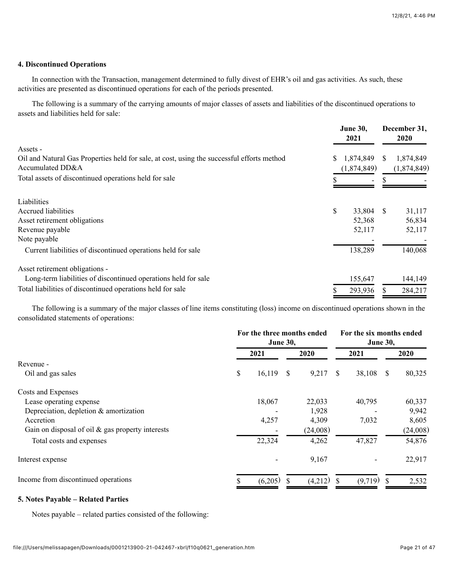#### **4. Discontinued Operations**

In connection with the Transaction, management determined to fully divest of EHR's oil and gas activities. As such, these activities are presented as discontinued operations for each of the periods presented.

The following is a summary of the carrying amounts of major classes of assets and liabilities of the discontinued operations to assets and liabilities held for sale:

|                                                                                            |    | <b>June 30,</b><br>2021 |    | December 31,<br>2020 |  |
|--------------------------------------------------------------------------------------------|----|-------------------------|----|----------------------|--|
| Assets -                                                                                   |    |                         |    |                      |  |
| Oil and Natural Gas Properties held for sale, at cost, using the successful efforts method | S  | 1,874,849               | S. | 1,874,849            |  |
| Accumulated DD&A                                                                           |    | (1,874,849)             |    | (1,874,849)          |  |
| Total assets of discontinued operations held for sale                                      |    | $\overline{ }$          |    |                      |  |
| Liabilities                                                                                |    |                         |    |                      |  |
| Accrued liabilities                                                                        | \$ | 33,804 \$               |    | 31,117               |  |
| Asset retirement obligations                                                               |    | 52,368                  |    | 56,834               |  |
| Revenue payable                                                                            |    | 52,117                  |    | 52,117               |  |
| Note payable                                                                               |    |                         |    |                      |  |
| Current liabilities of discontinued operations held for sale                               |    | 138,289                 |    | 140,068              |  |
| Asset retirement obligations -                                                             |    |                         |    |                      |  |
| Long-term liabilities of discontinued operations held for sale                             |    | 155,647                 |    | 144,149              |  |
| Total liabilities of discontinued operations held for sale                                 |    | 293,936                 |    | 284,217              |  |

The following is a summary of the major classes of line items constituting (loss) income on discontinued operations shown in the consolidated statements of operations:

|                                                     | For the three months ended<br><b>June 30,</b> |  |          |   | For the six months ended<br><b>June 30,</b> |              |          |  |
|-----------------------------------------------------|-----------------------------------------------|--|----------|---|---------------------------------------------|--------------|----------|--|
|                                                     | 2021                                          |  | 2020     |   | 2021                                        |              | 2020     |  |
| Revenue -                                           |                                               |  |          |   |                                             |              |          |  |
| Oil and gas sales                                   | \$<br>$16,119$ \$                             |  | 9,217    | S | 38,108                                      | <sup>S</sup> | 80,325   |  |
| Costs and Expenses                                  |                                               |  |          |   |                                             |              |          |  |
| Lease operating expense                             | 18,067                                        |  | 22,033   |   | 40,795                                      |              | 60,337   |  |
| Depreciation, depletion $\&$ amortization           |                                               |  | 1,928    |   |                                             |              | 9,942    |  |
| Accretion                                           | 4,257                                         |  | 4,309    |   | 7,032                                       |              | 8,605    |  |
| Gain on disposal of oil $\&$ gas property interests |                                               |  | (24,008) |   |                                             |              | (24,008) |  |
| Total costs and expenses                            | 22,324                                        |  | 4,262    |   | 47,827                                      |              | 54,876   |  |
| Interest expense                                    |                                               |  | 9,167    |   |                                             |              | 22,917   |  |
| Income from discontinued operations                 | (6,205)                                       |  | (4,212)  |   | (9,719)                                     |              | 2,532    |  |

### **5. Notes Payable – Related Parties**

Notes payable – related parties consisted of the following: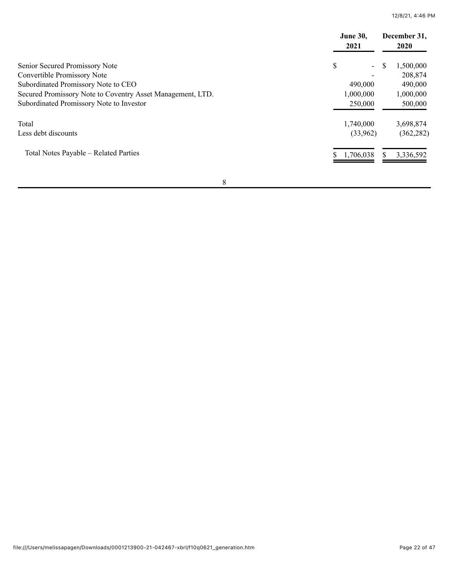12/8/21, 4:46 PM

|                                                            | <b>June 30,</b><br>2021        |                |
|------------------------------------------------------------|--------------------------------|----------------|
| Senior Secured Promissory Note                             | \$<br>$\overline{\phantom{0}}$ | S<br>1,500,000 |
| Convertible Promissory Note                                |                                | 208,874        |
| Subordinated Promissory Note to CEO                        | 490,000                        | 490,000        |
| Secured Promissory Note to Coventry Asset Management, LTD. | 1,000,000                      | 1,000,000      |
| Subordinated Promissory Note to Investor                   | 250,000                        | 500,000        |
| Total                                                      | 1,740,000                      | 3,698,874      |
| Less debt discounts                                        | (33,962)                       | (362, 282)     |
| Total Notes Payable – Related Parties                      | 1,706,038                      | 3,336,592<br>S |

8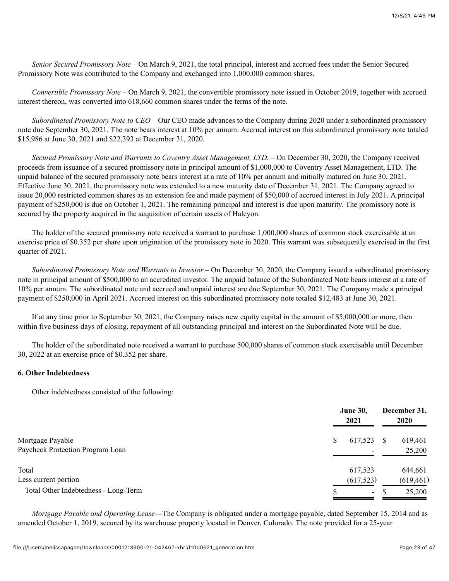*Senior Secured Promissory Note –* On March 9, 2021, the total principal, interest and accrued fees under the Senior Secured Promissory Note was contributed to the Company and exchanged into 1,000,000 common shares.

*Convertible Promissory Note –* On March 9, 2021, the convertible promissory note issued in October 2019, together with accrued interest thereon, was converted into 618,660 common shares under the terms of the note.

*Subordinated Promissory Note to CEO –* Our CEO made advances to the Company during 2020 under a subordinated promissory note due September 30, 2021. The note bears interest at 10% per annum. Accrued interest on this subordinated promissory note totaled \$15,986 at June 30, 2021 and \$22,393 at December 31, 2020.

*Secured Promissory Note and Warrants to Coventry Asset Management, LTD. –* On December 30, 2020, the Company received proceeds from issuance of a secured promissory note in principal amount of \$1,000,000 to Coventry Asset Management, LTD. The unpaid balance of the secured promissory note bears interest at a rate of 10% per annum and initially matured on June 30, 2021. Effective June 30, 2021, the promissory note was extended to a new maturity date of December 31, 2021. The Company agreed to issue 20,000 restricted common shares as an extension fee and made payment of \$50,000 of accrued interest in July 2021. A principal payment of \$250,000 is due on October 1, 2021. The remaining principal and interest is due upon maturity. The promissory note is secured by the property acquired in the acquisition of certain assets of Halcyon.

The holder of the secured promissory note received a warrant to purchase 1,000,000 shares of common stock exercisable at an exercise price of \$0.352 per share upon origination of the promissory note in 2020. This warrant was subsequently exercised in the first quarter of 2021.

*Subordinated Promissory Note and Warrants to Investor* – On December 30, 2020, the Company issued a subordinated promissory note in principal amount of \$500,000 to an accredited investor. The unpaid balance of the Subordinated Note bears interest at a rate of 10% per annum. The subordinated note and accrued and unpaid interest are due September 30, 2021. The Company made a principal payment of \$250,000 in April 2021. Accrued interest on this subordinated promissory note totaled \$12,483 at June 30, 2021.

If at any time prior to September 30, 2021, the Company raises new equity capital in the amount of \$5,000,000 or more, then within five business days of closing, repayment of all outstanding principal and interest on the Subordinated Note will be due.

The holder of the subordinated note received a warrant to purchase 500,000 shares of common stock exercisable until December 30, 2022 at an exercise price of \$0.352 per share.

# **6. Other Indebtedness**

Other indebtedness consisted of the following:

| Mortgage Payable<br>Paycheck Protection Program Loan | <b>June 30,</b><br>2021                  | December 31,<br>2020 |  |  |
|------------------------------------------------------|------------------------------------------|----------------------|--|--|
|                                                      | 617,523<br>S<br>$\overline{\phantom{0}}$ | 619,461<br>25,200    |  |  |
| Total                                                | 617,523                                  | 644,661              |  |  |
| Less current portion                                 | (617, 523)                               | (619, 461)           |  |  |
| Total Other Indebtedness - Long-Term                 | $\overline{\phantom{a}}$                 | 25,200               |  |  |

*Mortgage Payable and Operating Lease—*The Company is obligated under a mortgage payable, dated September 15, 2014 and as amended October 1, 2019, secured by its warehouse property located in Denver, Colorado. The note provided for a 25-year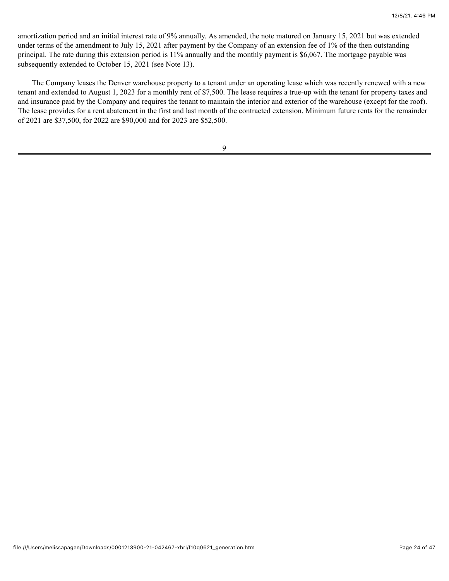amortization period and an initial interest rate of 9% annually. As amended, the note matured on January 15, 2021 but was extended under terms of the amendment to July 15, 2021 after payment by the Company of an extension fee of 1% of the then outstanding principal. The rate during this extension period is 11% annually and the monthly payment is \$6,067. The mortgage payable was subsequently extended to October 15, 2021 (see Note 13).

The Company leases the Denver warehouse property to a tenant under an operating lease which was recently renewed with a new tenant and extended to August 1, 2023 for a monthly rent of \$7,500. The lease requires a true-up with the tenant for property taxes and and insurance paid by the Company and requires the tenant to maintain the interior and exterior of the warehouse (except for the roof). The lease provides for a rent abatement in the first and last month of the contracted extension. Minimum future rents for the remainder of 2021 are \$37,500, for 2022 are \$90,000 and for 2023 are \$52,500.

9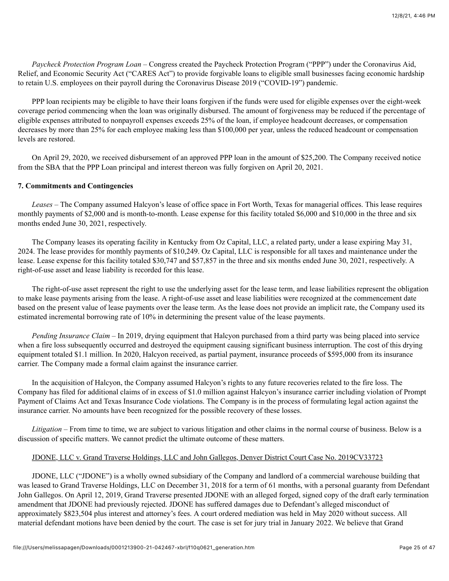*Paycheck Protection Program Loan –* Congress created the Paycheck Protection Program ("PPP") under the Coronavirus Aid, Relief, and Economic Security Act ("CARES Act") to provide forgivable loans to eligible small businesses facing economic hardship to retain U.S. employees on their payroll during the Coronavirus Disease 2019 ("COVID-19") pandemic.

PPP loan recipients may be eligible to have their loans forgiven if the funds were used for eligible expenses over the eight-week coverage period commencing when the loan was originally disbursed. The amount of forgiveness may be reduced if the percentage of eligible expenses attributed to nonpayroll expenses exceeds 25% of the loan, if employee headcount decreases, or compensation decreases by more than 25% for each employee making less than \$100,000 per year, unless the reduced headcount or compensation levels are restored.

On April 29, 2020, we received disbursement of an approved PPP loan in the amount of \$25,200. The Company received notice from the SBA that the PPP Loan principal and interest thereon was fully forgiven on April 20, 2021.

## **7. Commitments and Contingencies**

*Leases –* The Company assumed Halcyon's lease of office space in Fort Worth, Texas for managerial offices. This lease requires monthly payments of \$2,000 and is month-to-month. Lease expense for this facility totaled \$6,000 and \$10,000 in the three and six months ended June 30, 2021, respectively.

The Company leases its operating facility in Kentucky from Oz Capital, LLC, a related party, under a lease expiring May 31, 2024. The lease provides for monthly payments of \$10,249. Oz Capital, LLC is responsible for all taxes and maintenance under the lease. Lease expense for this facility totaled \$30,747 and \$57,857 in the three and six months ended June 30, 2021, respectively. A right-of-use asset and lease liability is recorded for this lease.

The right-of-use asset represent the right to use the underlying asset for the lease term, and lease liabilities represent the obligation to make lease payments arising from the lease. A right-of-use asset and lease liabilities were recognized at the commencement date based on the present value of lease payments over the lease term. As the lease does not provide an implicit rate, the Company used its estimated incremental borrowing rate of 10% in determining the present value of the lease payments.

*Pending Insurance Claim – In 2019*, drying equipment that Halcyon purchased from a third party was being placed into service when a fire loss subsequently occurred and destroyed the equipment causing significant business interruption. The cost of this drying equipment totaled \$1.1 million. In 2020, Halcyon received, as partial payment, insurance proceeds of \$595,000 from its insurance carrier. The Company made a formal claim against the insurance carrier.

In the acquisition of Halcyon, the Company assumed Halcyon's rights to any future recoveries related to the fire loss. The Company has filed for additional claims of in excess of \$1.0 million against Halcyon's insurance carrier including violation of Prompt Payment of Claims Act and Texas Insurance Code violations. The Company is in the process of formulating legal action against the insurance carrier. No amounts have been recognized for the possible recovery of these losses.

*Litigation –* From time to time, we are subject to various litigation and other claims in the normal course of business. Below is a discussion of specific matters. We cannot predict the ultimate outcome of these matters.

# JDONE, LLC v. Grand Traverse Holdings, LLC and John Gallegos, Denver District Court Case No. 2019CV33723

JDONE, LLC ("JDONE") is a wholly owned subsidiary of the Company and landlord of a commercial warehouse building that was leased to Grand Traverse Holdings, LLC on December 31, 2018 for a term of 61 months, with a personal guaranty from Defendant John Gallegos. On April 12, 2019, Grand Traverse presented JDONE with an alleged forged, signed copy of the draft early termination amendment that JDONE had previously rejected. JDONE has suffered damages due to Defendant's alleged misconduct of approximately \$823,504 plus interest and attorney's fees. A court ordered mediation was held in May 2020 without success. All material defendant motions have been denied by the court. The case is set for jury trial in January 2022. We believe that Grand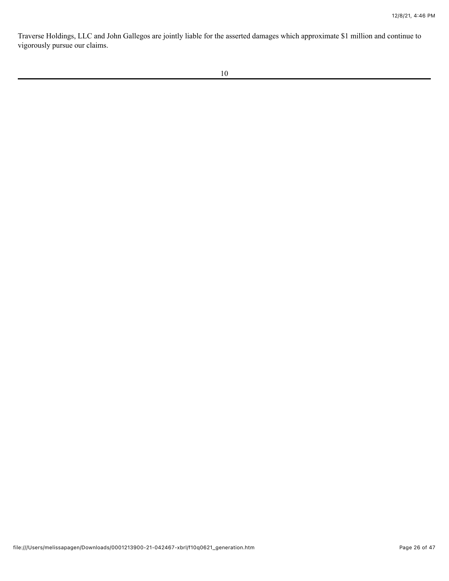Traverse Holdings, LLC and John Gallegos are jointly liable for the asserted damages which approximate \$1 million and continue to vigorously pursue our claims.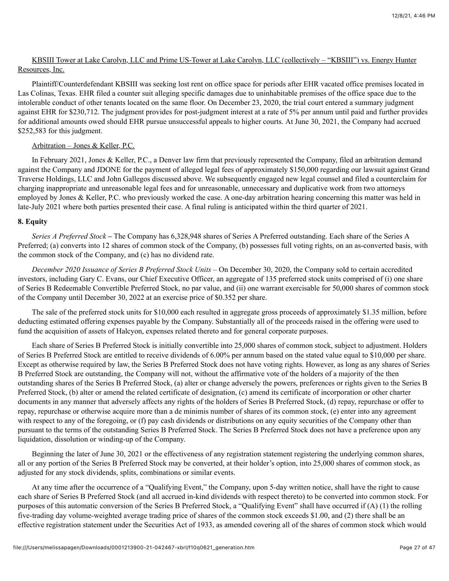# KBSIII Tower at Lake Carolyn, LLC and Prime US-Tower at Lake Carolyn, LLC (collectively – "KBSIII") vs. Energy Hunter Resources, Inc.

Plaintiff/Counterdefendant KBSIII was seeking lost rent on office space for periods after EHR vacated office premises located in Las Colinas, Texas. EHR filed a counter suit alleging specific damages due to uninhabitable premises of the office space due to the intolerable conduct of other tenants located on the same floor. On December 23, 2020, the trial court entered a summary judgment against EHR for \$230,712. The judgment provides for post-judgment interest at a rate of 5% per annum until paid and further provides for additional amounts owed should EHR pursue unsuccessful appeals to higher courts. At June 30, 2021, the Company had accrued \$252,583 for this judgment.

# Arbitration – Jones & Keller, P.C.

In February 2021, Jones & Keller, P.C., a Denver law firm that previously represented the Company, filed an arbitration demand against the Company and JDONE for the payment of alleged legal fees of approximately \$150,000 regarding our lawsuit against Grand Traverse Holdings, LLC and John Gallegos discussed above. We subsequently engaged new legal counsel and filed a counterclaim for charging inappropriate and unreasonable legal fees and for unreasonable, unnecessary and duplicative work from two attorneys employed by Jones & Keller, P.C. who previously worked the case. A one-day arbitration hearing concerning this matter was held in late-July 2021 where both parties presented their case. A final ruling is anticipated within the third quarter of 2021.

# **8. Equity**

*Series A Preferred Stock –* The Company has 6,328,948 shares of Series A Preferred outstanding. Each share of the Series A Preferred; (a) converts into 12 shares of common stock of the Company, (b) possesses full voting rights, on an as-converted basis, with the common stock of the Company, and (c) has no dividend rate.

*December 2020 Issuance of Series B Preferred Stock Units –* On December 30, 2020, the Company sold to certain accredited investors, including Gary C. Evans, our Chief Executive Officer, an aggregate of 135 preferred stock units comprised of (i) one share of Series B Redeemable Convertible Preferred Stock, no par value, and (ii) one warrant exercisable for 50,000 shares of common stock of the Company until December 30, 2022 at an exercise price of \$0.352 per share.

The sale of the preferred stock units for \$10,000 each resulted in aggregate gross proceeds of approximately \$1.35 million, before deducting estimated offering expenses payable by the Company. Substantially all of the proceeds raised in the offering were used to fund the acquisition of assets of Halcyon, expenses related thereto and for general corporate purposes.

Each share of Series B Preferred Stock is initially convertible into 25,000 shares of common stock, subject to adjustment. Holders of Series B Preferred Stock are entitled to receive dividends of 6.00% per annum based on the stated value equal to \$10,000 per share. Except as otherwise required by law, the Series B Preferred Stock does not have voting rights. However, as long as any shares of Series B Preferred Stock are outstanding, the Company will not, without the affirmative vote of the holders of a majority of the then outstanding shares of the Series B Preferred Stock, (a) alter or change adversely the powers, preferences or rights given to the Series B Preferred Stock, (b) alter or amend the related certificate of designation, (c) amend its certificate of incorporation or other charter documents in any manner that adversely affects any rights of the holders of Series B Preferred Stock, (d) repay, repurchase or offer to repay, repurchase or otherwise acquire more than a de minimis number of shares of its common stock, (e) enter into any agreement with respect to any of the foregoing, or (f) pay cash dividends or distributions on any equity securities of the Company other than pursuant to the terms of the outstanding Series B Preferred Stock. The Series B Preferred Stock does not have a preference upon any liquidation, dissolution or winding-up of the Company.

Beginning the later of June 30, 2021 or the effectiveness of any registration statement registering the underlying common shares, all or any portion of the Series B Preferred Stock may be converted, at their holder's option, into 25,000 shares of common stock, as adjusted for any stock dividends, splits, combinations or similar events.

At any time after the occurrence of a "Qualifying Event," the Company, upon 5-day written notice, shall have the right to cause each share of Series B Preferred Stock (and all accrued in-kind dividends with respect thereto) to be converted into common stock. For purposes of this automatic conversion of the Series B Preferred Stock, a "Qualifying Event" shall have occurred if (A) (1) the rolling five-trading day volume-weighted average trading price of shares of the common stock exceeds \$1.00, and (2) there shall be an effective registration statement under the Securities Act of 1933, as amended covering all of the shares of common stock which would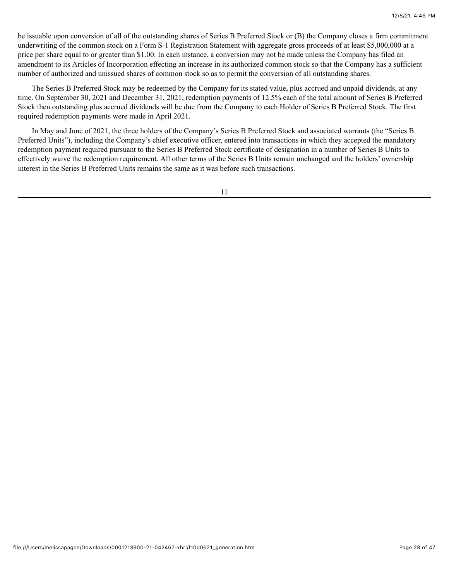be issuable upon conversion of all of the outstanding shares of Series B Preferred Stock or (B) the Company closes a firm commitment underwriting of the common stock on a Form S-1 Registration Statement with aggregate gross proceeds of at least \$5,000,000 at a price per share equal to or greater than \$1.00. In each instance, a conversion may not be made unless the Company has filed an amendment to its Articles of Incorporation effecting an increase in its authorized common stock so that the Company has a sufficient number of authorized and unissued shares of common stock so as to permit the conversion of all outstanding shares.

The Series B Preferred Stock may be redeemed by the Company for its stated value, plus accrued and unpaid dividends, at any time. On September 30, 2021 and December 31, 2021, redemption payments of 12.5% each of the total amount of Series B Preferred Stock then outstanding plus accrued dividends will be due from the Company to each Holder of Series B Preferred Stock. The first required redemption payments were made in April 2021.

In May and June of 2021, the three holders of the Company's Series B Preferred Stock and associated warrants (the "Series B Preferred Units"), including the Company's chief executive officer, entered into transactions in which they accepted the mandatory redemption payment required pursuant to the Series B Preferred Stock certificate of designation in a number of Series B Units to effectively waive the redemption requirement. All other terms of the Series B Units remain unchanged and the holders' ownership interest in the Series B Preferred Units remains the same as it was before such transactions.

11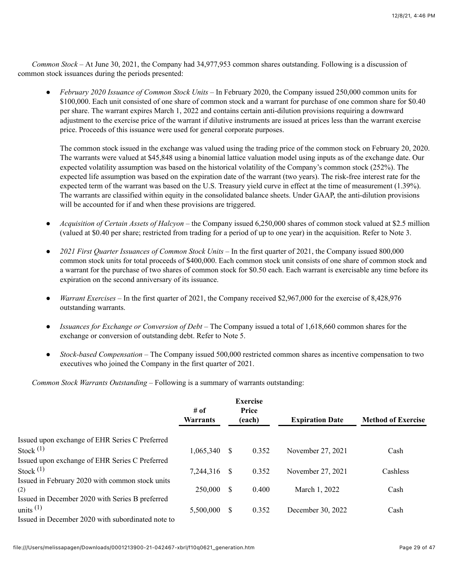*Common Stock –* At June 30, 2021, the Company had 34,977,953 common shares outstanding. Following is a discussion of common stock issuances during the periods presented:

● *February 2020 Issuance of Common Stock Units –* In February 2020, the Company issued 250,000 common units for \$100,000. Each unit consisted of one share of common stock and a warrant for purchase of one common share for \$0.40 per share. The warrant expires March 1, 2022 and contains certain anti-dilution provisions requiring a downward adjustment to the exercise price of the warrant if dilutive instruments are issued at prices less than the warrant exercise price. Proceeds of this issuance were used for general corporate purposes.

The common stock issued in the exchange was valued using the trading price of the common stock on February 20, 2020. The warrants were valued at \$45,848 using a binomial lattice valuation model using inputs as of the exchange date. Our expected volatility assumption was based on the historical volatility of the Company's common stock (252%). The expected life assumption was based on the expiration date of the warrant (two years). The risk-free interest rate for the expected term of the warrant was based on the U.S. Treasury yield curve in effect at the time of measurement (1.39%). The warrants are classified within equity in the consolidated balance sheets. Under GAAP, the anti-dilution provisions will be accounted for if and when these provisions are triggered.

- *Acquisition of Certain Assets of Halcyon* the Company issued 6,250,000 shares of common stock valued at \$2.5 million (valued at \$0.40 per share; restricted from trading for a period of up to one year) in the acquisition. Refer to Note 3.
- *2021 First Quarter Issuances of Common Stock Units* In the first quarter of 2021, the Company issued 800,000 common stock units for total proceeds of \$400,000. Each common stock unit consists of one share of common stock and a warrant for the purchase of two shares of common stock for \$0.50 each. Each warrant is exercisable any time before its expiration on the second anniversary of its issuance.
- *Warrant Exercises*  In the first quarter of 2021, the Company received \$2,967,000 for the exercise of 8,428,976 outstanding warrants.
- *Issuances for Exchange or Conversion of Debt*  The Company issued a total of 1,618,660 common shares for the exchange or conversion of outstanding debt. Refer to Note 5.
- *Stock-based Compensation* The Company issued 500,000 restricted common shares as incentive compensation to two executives who joined the Company in the first quarter of 2021.

*Common Stock Warrants Outstanding –* Following is a summary of warrants outstanding:

|                                                   | <b>Exercise</b><br>Price<br># of<br><b>Warrants</b><br>(each) |      |       | <b>Expiration Date</b> | <b>Method of Exercise</b> |
|---------------------------------------------------|---------------------------------------------------------------|------|-------|------------------------|---------------------------|
| Issued upon exchange of EHR Series C Preferred    |                                                               |      |       |                        |                           |
| Stock $(1)$                                       | 1,065,340                                                     | - S  | 0.352 | November 27, 2021      | Cash                      |
| Issued upon exchange of EHR Series C Preferred    |                                                               |      |       |                        |                           |
| Stock $(1)$                                       | 7,244,316                                                     | - \$ | 0.352 | November 27, 2021      | Cashless                  |
| Issued in February 2020 with common stock units   |                                                               |      |       |                        |                           |
| (2)                                               | 250,000                                                       | \$.  | 0.400 | March 1, 2022          | Cash                      |
| Issued in December 2020 with Series B preferred   |                                                               |      |       |                        |                           |
| units $(1)$                                       | 5,500,000                                                     | \$.  | 0.352 | December 30, 2022      | Cash                      |
| Issued in December 2020 with subordinated note to |                                                               |      |       |                        |                           |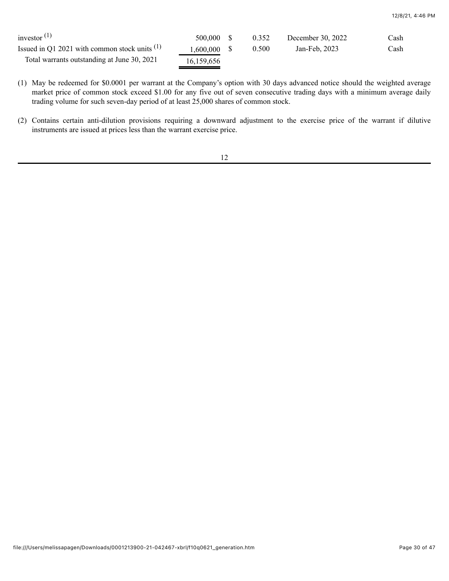| investor $(1)$                                  | 500,000 \$     | 0.352 | December 30, 2022 | Cash |
|-------------------------------------------------|----------------|-------|-------------------|------|
| Issued in Q1 2021 with common stock units $(1)$ | $1,600,000$ \$ | 0.500 | Jan-Feb. 2023     | Cash |
| Total warrants outstanding at June 30, 2021     | 16,159,656     |       |                   |      |

(1) May be redeemed for \$0.0001 per warrant at the Company's option with 30 days advanced notice should the weighted average market price of common stock exceed \$1.00 for any five out of seven consecutive trading days with a minimum average daily trading volume for such seven-day period of at least 25,000 shares of common stock.

(2) Contains certain anti-dilution provisions requiring a downward adjustment to the exercise price of the warrant if dilutive instruments are issued at prices less than the warrant exercise price.

12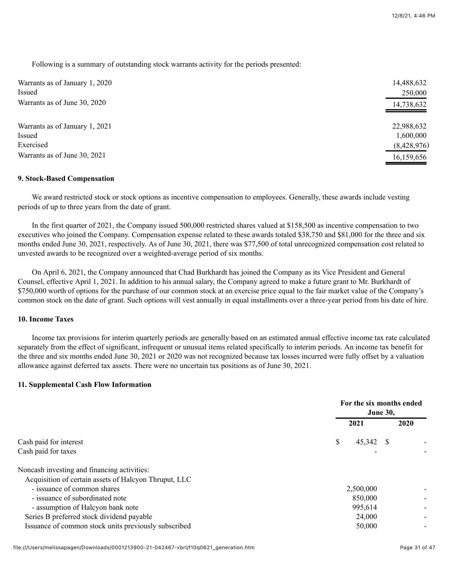Following is a summary of outstanding stock warrants activity for the periods presented:

| Warrants as of January 1, 2020<br>Issued | 14,488,632<br>250,000 |
|------------------------------------------|-----------------------|
| Warrants as of June 30, 2020             | 14,738,632            |
| Warrants as of January 1, 2021           | 22,988,632            |
| Issued                                   | 1,600,000             |
| Exercised                                | (8,428,976)           |
| Warrants as of June 30, 2021             | 16,159,656            |

#### **9. Stock-Based Compensation**

We award restricted stock or stock options as incentive compensation to employees. Generally, these awards include vesting periods of up to three years from the date of grant.

In the first quarter of 2021, the Company issued 500,000 restricted shares valued at \$158,500 as incentive compensation to two executives who joined the Company. Compensation expense related to these awards totaled \$38,750 and \$81,000 for the three and six months ended June 30, 2021, respectively. As of June 30, 2021, there was \$77,500 of total unrecognized compensation cost related to unvested awards to be recognized over a weighted-average period of six months.

On April 6, 2021, the Company announced that Chad Burkhardt has joined the Company as its Vice President and General Counsel, effective April 1, 2021. In addition to his annual salary, the Company agreed to make a future grant to Mr. Burkhardt of \$750,000 worth of options for the purchase of our common stock at an exercise price equal to the fair market value of the Company's common stock on the date of grant. Such options will vest annually in equal installments over a three-year period from his date of hire.

# **10. Income Taxes**

Income tax provisions for interim quarterly periods are generally based on an estimated annual effective income tax rate calculated separately from the effect of significant, infrequent or unusual items related specifically to interim periods. An income tax benefit for the three and six months ended June 30, 2021 or 2020 was not recognized because tax losses incurred were fully offset by a valuation allowance against deferred tax assets. There were no uncertain tax positions as of June 30, 2021.

#### **11. Supplemental Cash Flow Information**

|                                                       |                   | For the six months ended<br><b>June 30,</b> |  |  |  |
|-------------------------------------------------------|-------------------|---------------------------------------------|--|--|--|
|                                                       | 2021              | 2020                                        |  |  |  |
| Cash paid for interest                                | \$<br>$45,342$ \$ |                                             |  |  |  |
| Cash paid for taxes                                   |                   |                                             |  |  |  |
| Noncash investing and financing activities:           |                   |                                             |  |  |  |
| Acquisition of certain assets of Halcyon Thruput, LLC |                   |                                             |  |  |  |
| - issuance of common shares                           | 2,500,000         |                                             |  |  |  |
| - issuance of subordinated note                       | 850,000           |                                             |  |  |  |
| - assumption of Halcyon bank note                     | 995,614           |                                             |  |  |  |
| Series B preferred stock dividend payable             | 24,000            |                                             |  |  |  |
| Issuance of common stock units previously subscribed  | 50,000            |                                             |  |  |  |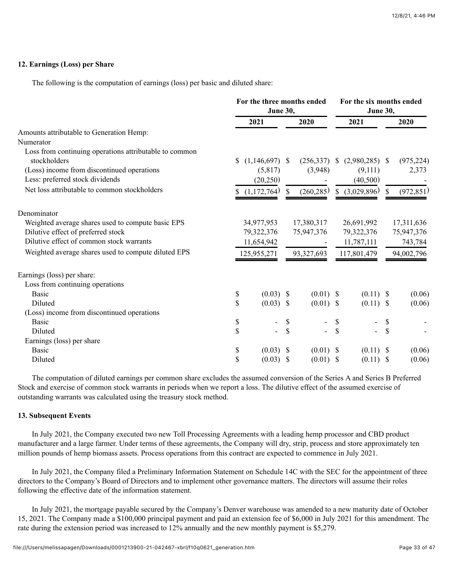# **12. Earnings (Loss) per Share**

The following is the computation of earnings (loss) per basic and diluted share:

|                                                        | For the three months ended<br>June 30, |                  | For the six months ended<br>June 30, |             |              |                  |              |            |
|--------------------------------------------------------|----------------------------------------|------------------|--------------------------------------|-------------|--------------|------------------|--------------|------------|
|                                                        |                                        | 2021             |                                      | 2020        |              | 2021             |              | 2020       |
| Amounts attributable to Generation Hemp:               |                                        |                  |                                      |             |              |                  |              |            |
| Numerator                                              |                                        |                  |                                      |             |              |                  |              |            |
| Loss from continuing operations attributable to common |                                        |                  |                                      |             |              |                  |              |            |
| stockholders                                           | S                                      | $(1,146,697)$ \$ |                                      | (256, 337)  | \$           | $(2,980,285)$ \$ |              | (975, 224) |
| (Loss) income from discontinued operations             |                                        | (5,817)          |                                      | (3,948)     |              | (9,111)          |              | 2,373      |
| Less: preferred stock dividends                        |                                        | (20,250)         |                                      |             |              | (40,500)         |              |            |
| Net loss attributable to common stockholders           |                                        | (1,172,764)      | S.                                   | (260, 285)  | $\mathbb{S}$ | (3,029,896)      | <sup>S</sup> | (972, 851) |
| Denominator                                            |                                        |                  |                                      |             |              |                  |              |            |
| Weighted average shares used to compute basic EPS      |                                        | 34,977,953       |                                      | 17,380,317  |              | 26,691,992       |              | 17,311,636 |
| Dilutive effect of preferred stock                     |                                        | 79,322,376       |                                      | 75,947,376  |              | 79,322,376       |              | 75,947,376 |
| Dilutive effect of common stock warrants               |                                        | 11,654,942       |                                      |             |              | 11,787,111       |              | 743,784    |
| Weighted average shares used to compute diluted EPS    |                                        | 125,955,271      |                                      | 93,327,693  |              | 117,801,479      |              | 94,002,796 |
| Earnings (loss) per share:                             |                                        |                  |                                      |             |              |                  |              |            |
| Loss from continuing operations                        |                                        |                  |                                      |             |              |                  |              |            |
| <b>Basic</b>                                           | \$                                     | $(0.03)$ \$      |                                      | $(0.01)$ \$ |              | $(0.11)$ \$      |              | (0.06)     |
| Diluted                                                | \$                                     | $(0.03)$ \$      |                                      | $(0.01)$ \$ |              | (0.11)           | -S           | (0.06)     |
| (Loss) income from discontinued operations             |                                        |                  |                                      |             |              |                  |              |            |
| <b>Basic</b>                                           | \$                                     |                  | \$                                   |             | \$           |                  | \$           |            |
| Diluted                                                | \$                                     |                  | \$                                   |             | \$           |                  | \$           |            |
| Earnings (loss) per share                              |                                        |                  |                                      |             |              |                  |              |            |
| <b>Basic</b>                                           | \$                                     | $(0.03)$ \$      |                                      | $(0.01)$ \$ |              | $(0.11)$ \$      |              | (0.06)     |
| Diluted                                                | \$                                     | $(0.03)$ \$      |                                      | $(0.01)$ \$ |              | $(0.11)$ \$      |              | (0.06)     |

The computation of diluted earnings per common share excludes the assumed conversion of the Series A and Series B Preferred Stock and exercise of common stock warrants in periods when we report a loss. The dilutive effect of the assumed exercise of outstanding warrants was calculated using the treasury stock method.

## **13. Subsequent Events**

In July 2021, the Company executed two new Toll Processing Agreements with a leading hemp processor and CBD product manufacturer and a large farmer. Under terms of these agreements, the Company will dry, strip, process and store approximately ten million pounds of hemp biomass assets. Process operations from this contract are expected to commence in July 2021.

In July 2021, the Company filed a Preliminary Information Statement on Schedule 14C with the SEC for the appointment of three directors to the Company's Board of Directors and to implement other governance matters. The directors will assume their roles following the effective date of the information statement.

In July 2021, the mortgage payable secured by the Company's Denver warehouse was amended to a new maturity date of October 15, 2021. The Company made a \$100,000 principal payment and paid an extension fee of \$6,000 in July 2021 for this amendment. The rate during the extension period was increased to 12% annually and the new monthly payment is \$5,279.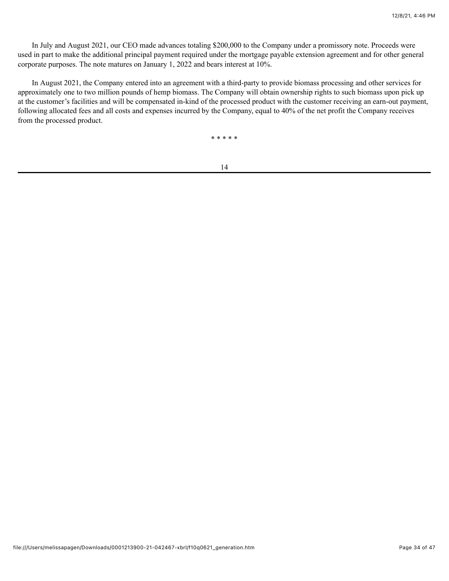In July and August 2021, our CEO made advances totaling \$200,000 to the Company under a promissory note. Proceeds were used in part to make the additional principal payment required under the mortgage payable extension agreement and for other general corporate purposes. The note matures on January 1, 2022 and bears interest at 10%.

In August 2021, the Company entered into an agreement with a third-party to provide biomass processing and other services for approximately one to two million pounds of hemp biomass. The Company will obtain ownership rights to such biomass upon pick up at the customer's facilities and will be compensated in-kind of the processed product with the customer receiving an earn-out payment, following allocated fees and all costs and expenses incurred by the Company, equal to 40% of the net profit the Company receives from the processed product.

\* \* \* \* \*

14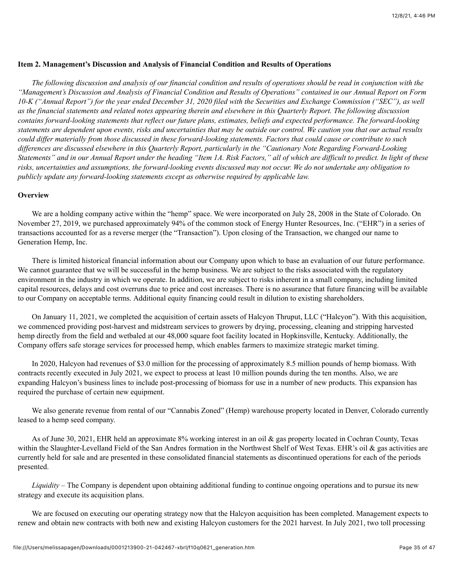## <span id="page-34-0"></span>**Item 2. Management's Discussion and Analysis of Financial Condition and Results of Operations**

*The following discussion and analysis of our financial condition and results of operations should be read in conjunction with the "Management's Discussion and Analysis of Financial Condition and Results of Operations" contained in our Annual Report on Form 10-K ("Annual Report") for the year ended December 31, 2020 filed with the Securities and Exchange Commission ("SEC"), as well as the financial statements and related notes appearing therein and elsewhere in this Quarterly Report. The following discussion contains forward-looking statements that reflect our future plans, estimates, beliefs and expected performance. The forward-looking statements are dependent upon events, risks and uncertainties that may be outside our control. We caution you that our actual results could differ materially from those discussed in these forward-looking statements. Factors that could cause or contribute to such differences are discussed elsewhere in this Quarterly Report, particularly in the "Cautionary Note Regarding Forward-Looking Statements" and in our Annual Report under the heading "Item 1A. Risk Factors," all of which are difficult to predict. In light of these risks, uncertainties and assumptions, the forward-looking events discussed may not occur. We do not undertake any obligation to publicly update any forward-looking statements except as otherwise required by applicable law.*

# **Overview**

We are a holding company active within the "hemp" space. We were incorporated on July 28, 2008 in the State of Colorado. On November 27, 2019, we purchased approximately 94% of the common stock of Energy Hunter Resources, Inc. ("EHR") in a series of transactions accounted for as a reverse merger (the "Transaction"). Upon closing of the Transaction, we changed our name to Generation Hemp, Inc.

There is limited historical financial information about our Company upon which to base an evaluation of our future performance. We cannot guarantee that we will be successful in the hemp business. We are subject to the risks associated with the regulatory environment in the industry in which we operate. In addition, we are subject to risks inherent in a small company, including limited capital resources, delays and cost overruns due to price and cost increases. There is no assurance that future financing will be available to our Company on acceptable terms. Additional equity financing could result in dilution to existing shareholders.

On January 11, 2021, we completed the acquisition of certain assets of Halcyon Thruput, LLC ("Halcyon"). With this acquisition, we commenced providing post-harvest and midstream services to growers by drying, processing, cleaning and stripping harvested hemp directly from the field and wetbaled at our 48,000 square foot facility located in Hopkinsville, Kentucky. Additionally, the Company offers safe storage services for processed hemp, which enables farmers to maximize strategic market timing.

In 2020, Halcyon had revenues of \$3.0 million for the processing of approximately 8.5 million pounds of hemp biomass. With contracts recently executed in July 2021, we expect to process at least 10 million pounds during the ten months. Also, we are expanding Halcyon's business lines to include post-processing of biomass for use in a number of new products. This expansion has required the purchase of certain new equipment.

We also generate revenue from rental of our "Cannabis Zoned" (Hemp) warehouse property located in Denver, Colorado currently leased to a hemp seed company.

As of June 30, 2021, EHR held an approximate 8% working interest in an oil & gas property located in Cochran County, Texas within the Slaughter-Levelland Field of the San Andres formation in the Northwest Shelf of West Texas. EHR's oil & gas activities are currently held for sale and are presented in these consolidated financial statements as discontinued operations for each of the periods presented.

*Liquidity –* The Company is dependent upon obtaining additional funding to continue ongoing operations and to pursue its new strategy and execute its acquisition plans.

We are focused on executing our operating strategy now that the Halcyon acquisition has been completed. Management expects to renew and obtain new contracts with both new and existing Halcyon customers for the 2021 harvest. In July 2021, two toll processing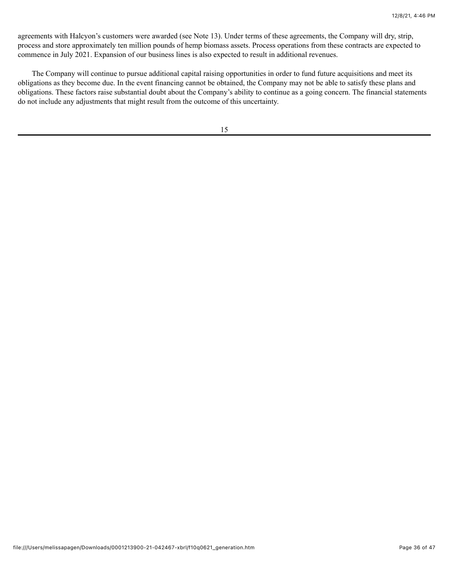agreements with Halcyon's customers were awarded (see Note 13). Under terms of these agreements, the Company will dry, strip, process and store approximately ten million pounds of hemp biomass assets. Process operations from these contracts are expected to commence in July 2021. Expansion of our business lines is also expected to result in additional revenues.

The Company will continue to pursue additional capital raising opportunities in order to fund future acquisitions and meet its obligations as they become due. In the event financing cannot be obtained, the Company may not be able to satisfy these plans and obligations. These factors raise substantial doubt about the Company's ability to continue as a going concern. The financial statements do not include any adjustments that might result from the outcome of this uncertainty.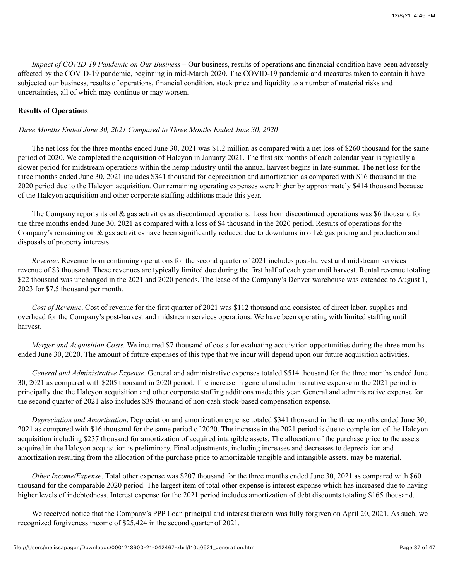*Impact of COVID-19 Pandemic on Our Business* – Our business, results of operations and financial condition have been adversely affected by the COVID-19 pandemic, beginning in mid-March 2020. The COVID-19 pandemic and measures taken to contain it have subjected our business, results of operations, financial condition, stock price and liquidity to a number of material risks and uncertainties, all of which may continue or may worsen.

# **Results of Operations**

*Three Months Ended June 30, 2021 Compared to Three Months Ended June 30, 2020*

The net loss for the three months ended June 30, 2021 was \$1.2 million as compared with a net loss of \$260 thousand for the same period of 2020. We completed the acquisition of Halcyon in January 2021. The first six months of each calendar year is typically a slower period for midstream operations within the hemp industry until the annual harvest begins in late-summer. The net loss for the three months ended June 30, 2021 includes \$341 thousand for depreciation and amortization as compared with \$16 thousand in the 2020 period due to the Halcyon acquisition. Our remaining operating expenses were higher by approximately \$414 thousand because of the Halcyon acquisition and other corporate staffing additions made this year.

The Company reports its oil & gas activities as discontinued operations. Loss from discontinued operations was \$6 thousand for the three months ended June 30, 2021 as compared with a loss of \$4 thousand in the 2020 period. Results of operations for the Company's remaining oil  $\&$  gas activities have been significantly reduced due to downturns in oil  $\&$  gas pricing and production and disposals of property interests.

*Revenue*. Revenue from continuing operations for the second quarter of 2021 includes post-harvest and midstream services revenue of \$3 thousand. These revenues are typically limited due during the first half of each year until harvest. Rental revenue totaling \$22 thousand was unchanged in the 2021 and 2020 periods. The lease of the Company's Denver warehouse was extended to August 1, 2023 for \$7.5 thousand per month.

*Cost of Revenue*. Cost of revenue for the first quarter of 2021 was \$112 thousand and consisted of direct labor, supplies and overhead for the Company's post-harvest and midstream services operations. We have been operating with limited staffing until harvest.

*Merger and Acquisition Costs*. We incurred \$7 thousand of costs for evaluating acquisition opportunities during the three months ended June 30, 2020. The amount of future expenses of this type that we incur will depend upon our future acquisition activities.

*General and Administrative Expense*. General and administrative expenses totaled \$514 thousand for the three months ended June 30, 2021 as compared with \$205 thousand in 2020 period. The increase in general and administrative expense in the 2021 period is principally due the Halcyon acquisition and other corporate staffing additions made this year. General and administrative expense for the second quarter of 2021 also includes \$39 thousand of non-cash stock-based compensation expense.

*Depreciation and Amortization*. Depreciation and amortization expense totaled \$341 thousand in the three months ended June 30, 2021 as compared with \$16 thousand for the same period of 2020. The increase in the 2021 period is due to completion of the Halcyon acquisition including \$237 thousand for amortization of acquired intangible assets. The allocation of the purchase price to the assets acquired in the Halcyon acquisition is preliminary. Final adjustments, including increases and decreases to depreciation and amortization resulting from the allocation of the purchase price to amortizable tangible and intangible assets, may be material.

*Other Income/Expense*. Total other expense was \$207 thousand for the three months ended June 30, 2021 as compared with \$60 thousand for the comparable 2020 period. The largest item of total other expense is interest expense which has increased due to having higher levels of indebtedness. Interest expense for the 2021 period includes amortization of debt discounts totaling \$165 thousand.

We received notice that the Company's PPP Loan principal and interest thereon was fully forgiven on April 20, 2021. As such, we recognized forgiveness income of \$25,424 in the second quarter of 2021.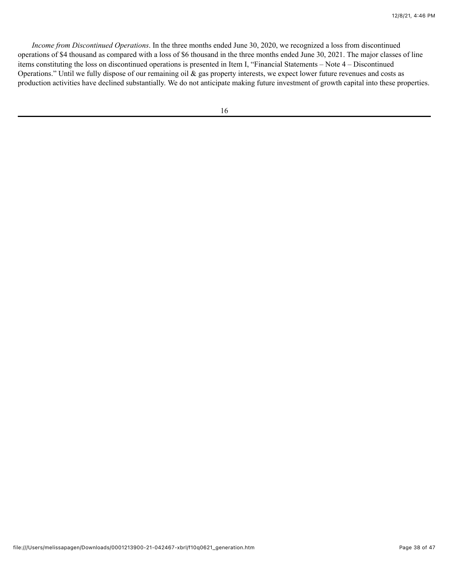*Income from Discontinued Operations*. In the three months ended June 30, 2020, we recognized a loss from discontinued operations of \$4 thousand as compared with a loss of \$6 thousand in the three months ended June 30, 2021. The major classes of line items constituting the loss on discontinued operations is presented in Item I, "Financial Statements – Note 4 – Discontinued Operations." Until we fully dispose of our remaining oil & gas property interests, we expect lower future revenues and costs as production activities have declined substantially. We do not anticipate making future investment of growth capital into these properties.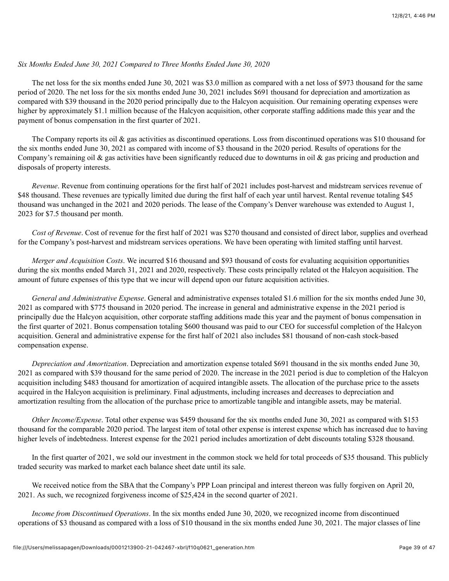## *Six Months Ended June 30, 2021 Compared to Three Months Ended June 30, 2020*

The net loss for the six months ended June 30, 2021 was \$3.0 million as compared with a net loss of \$973 thousand for the same period of 2020. The net loss for the six months ended June 30, 2021 includes \$691 thousand for depreciation and amortization as compared with \$39 thousand in the 2020 period principally due to the Halcyon acquisition. Our remaining operating expenses were higher by approximately \$1.1 million because of the Halcyon acquisition, other corporate staffing additions made this year and the payment of bonus compensation in the first quarter of 2021.

The Company reports its oil & gas activities as discontinued operations. Loss from discontinued operations was \$10 thousand for the six months ended June 30, 2021 as compared with income of \$3 thousand in the 2020 period. Results of operations for the Company's remaining oil  $\&$  gas activities have been significantly reduced due to downturns in oil  $\&$  gas pricing and production and disposals of property interests.

*Revenue*. Revenue from continuing operations for the first half of 2021 includes post-harvest and midstream services revenue of \$48 thousand. These revenues are typically limited due during the first half of each year until harvest. Rental revenue totaling \$45 thousand was unchanged in the 2021 and 2020 periods. The lease of the Company's Denver warehouse was extended to August 1, 2023 for \$7.5 thousand per month.

*Cost of Revenue*. Cost of revenue for the first half of 2021 was \$270 thousand and consisted of direct labor, supplies and overhead for the Company's post-harvest and midstream services operations. We have been operating with limited staffing until harvest.

*Merger and Acquisition Costs*. We incurred \$16 thousand and \$93 thousand of costs for evaluating acquisition opportunities during the six months ended March 31, 2021 and 2020, respectively. These costs principally related ot the Halcyon acquisition. The amount of future expenses of this type that we incur will depend upon our future acquisition activities.

*General and Administrative Expense*. General and administrative expenses totaled \$1.6 million for the six months ended June 30, 2021 as compared with \$775 thousand in 2020 period. The increase in general and administrative expense in the 2021 period is principally due the Halcyon acquisition, other corporate staffing additions made this year and the payment of bonus compensation in the first quarter of 2021. Bonus compensation totaling \$600 thousand was paid to our CEO for successful completion of the Halcyon acquisition. General and administrative expense for the first half of 2021 also includes \$81 thousand of non-cash stock-based compensation expense.

*Depreciation and Amortization*. Depreciation and amortization expense totaled \$691 thousand in the six months ended June 30, 2021 as compared with \$39 thousand for the same period of 2020. The increase in the 2021 period is due to completion of the Halcyon acquisition including \$483 thousand for amortization of acquired intangible assets. The allocation of the purchase price to the assets acquired in the Halcyon acquisition is preliminary. Final adjustments, including increases and decreases to depreciation and amortization resulting from the allocation of the purchase price to amortizable tangible and intangible assets, may be material.

*Other Income/Expense*. Total other expense was \$459 thousand for the six months ended June 30, 2021 as compared with \$153 thousand for the comparable 2020 period. The largest item of total other expense is interest expense which has increased due to having higher levels of indebtedness. Interest expense for the 2021 period includes amortization of debt discounts totaling \$328 thousand.

In the first quarter of 2021, we sold our investment in the common stock we held for total proceeds of \$35 thousand. This publicly traded security was marked to market each balance sheet date until its sale.

We received notice from the SBA that the Company's PPP Loan principal and interest thereon was fully forgiven on April 20, 2021. As such, we recognized forgiveness income of \$25,424 in the second quarter of 2021.

*Income from Discontinued Operations*. In the six months ended June 30, 2020, we recognized income from discontinued operations of \$3 thousand as compared with a loss of \$10 thousand in the six months ended June 30, 2021. The major classes of line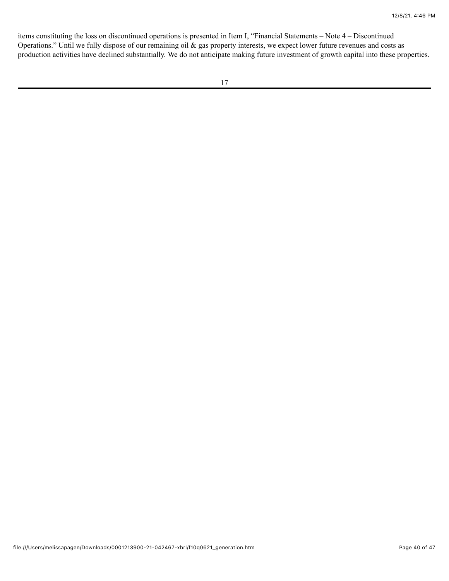items constituting the loss on discontinued operations is presented in Item I, "Financial Statements – Note 4 – Discontinued Operations." Until we fully dispose of our remaining oil & gas property interests, we expect lower future revenues and costs as production activities have declined substantially. We do not anticipate making future investment of growth capital into these properties.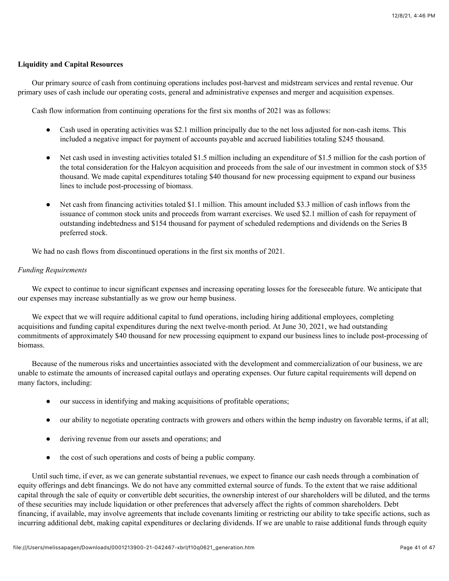# **Liquidity and Capital Resources**

Our primary source of cash from continuing operations includes post-harvest and midstream services and rental revenue. Our primary uses of cash include our operating costs, general and administrative expenses and merger and acquisition expenses.

Cash flow information from continuing operations for the first six months of 2021 was as follows:

- Cash used in operating activities was \$2.1 million principally due to the net loss adjusted for non-cash items. This included a negative impact for payment of accounts payable and accrued liabilities totaling \$245 thousand.
- Net cash used in investing activities totaled \$1.5 million including an expenditure of \$1.5 million for the cash portion of the total consideration for the Halcyon acquisition and proceeds from the sale of our investment in common stock of \$35 thousand. We made capital expenditures totaling \$40 thousand for new processing equipment to expand our business lines to include post-processing of biomass.
- Net cash from financing activities totaled \$1.1 million. This amount included \$3.3 million of cash inflows from the issuance of common stock units and proceeds from warrant exercises. We used \$2.1 million of cash for repayment of outstanding indebtedness and \$154 thousand for payment of scheduled redemptions and dividends on the Series B preferred stock.

We had no cash flows from discontinued operations in the first six months of 2021.

## *Funding Requirements*

We expect to continue to incur significant expenses and increasing operating losses for the foreseeable future. We anticipate that our expenses may increase substantially as we grow our hemp business.

We expect that we will require additional capital to fund operations, including hiring additional employees, completing acquisitions and funding capital expenditures during the next twelve-month period. At June 30, 2021, we had outstanding commitments of approximately \$40 thousand for new processing equipment to expand our business lines to include post-processing of biomass.

Because of the numerous risks and uncertainties associated with the development and commercialization of our business, we are unable to estimate the amounts of increased capital outlays and operating expenses. Our future capital requirements will depend on many factors, including:

- our success in identifying and making acquisitions of profitable operations;
- our ability to negotiate operating contracts with growers and others within the hemp industry on favorable terms, if at all;
- deriving revenue from our assets and operations; and
- the cost of such operations and costs of being a public company.

Until such time, if ever, as we can generate substantial revenues, we expect to finance our cash needs through a combination of equity offerings and debt financings. We do not have any committed external source of funds. To the extent that we raise additional capital through the sale of equity or convertible debt securities, the ownership interest of our shareholders will be diluted, and the terms of these securities may include liquidation or other preferences that adversely affect the rights of common shareholders. Debt financing, if available, may involve agreements that include covenants limiting or restricting our ability to take specific actions, such as incurring additional debt, making capital expenditures or declaring dividends. If we are unable to raise additional funds through equity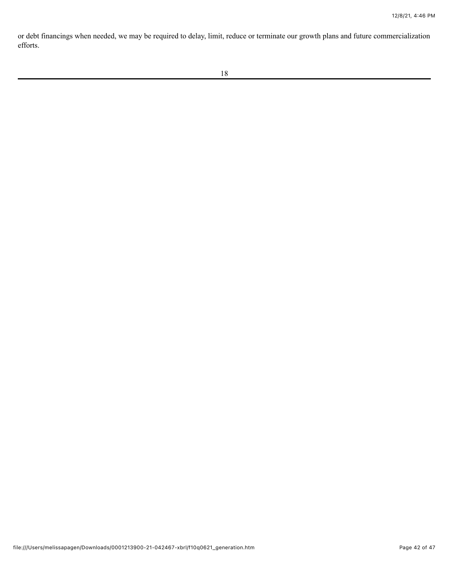or debt financings when needed, we may be required to delay, limit, reduce or terminate our growth plans and future commercialization efforts.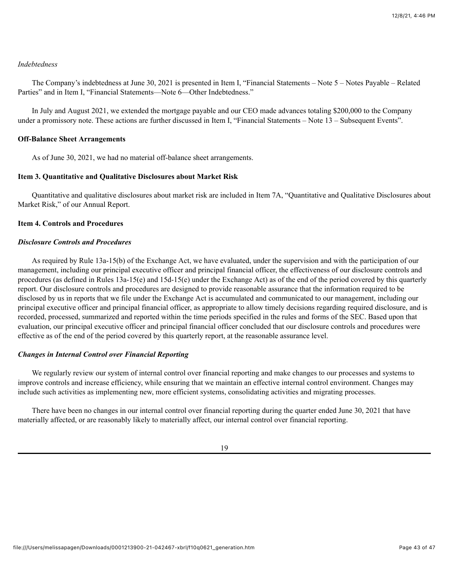## *Indebtedness*

The Company's indebtedness at June 30, 2021 is presented in Item I, "Financial Statements – Note 5 – Notes Payable – Related Parties" and in Item I, "Financial Statements—Note 6—Other Indebtedness."

In July and August 2021, we extended the mortgage payable and our CEO made advances totaling \$200,000 to the Company under a promissory note. These actions are further discussed in Item I, "Financial Statements – Note 13 – Subsequent Events".

#### **Off-Balance Sheet Arrangements**

<span id="page-42-0"></span>As of June 30, 2021, we had no material off-balance sheet arrangements.

#### **Item 3. Quantitative and Qualitative Disclosures about Market Risk**

Quantitative and qualitative disclosures about market risk are included in Item 7A, "Quantitative and Qualitative Disclosures about Market Risk," of our Annual Report.

#### <span id="page-42-1"></span>**Item 4. Controls and Procedures**

#### *Disclosure Controls and Procedures*

As required by Rule 13a-15(b) of the Exchange Act, we have evaluated, under the supervision and with the participation of our management, including our principal executive officer and principal financial officer, the effectiveness of our disclosure controls and procedures (as defined in Rules 13a-15(e) and 15d-15(e) under the Exchange Act) as of the end of the period covered by this quarterly report. Our disclosure controls and procedures are designed to provide reasonable assurance that the information required to be disclosed by us in reports that we file under the Exchange Act is accumulated and communicated to our management, including our principal executive officer and principal financial officer, as appropriate to allow timely decisions regarding required disclosure, and is recorded, processed, summarized and reported within the time periods specified in the rules and forms of the SEC. Based upon that evaluation, our principal executive officer and principal financial officer concluded that our disclosure controls and procedures were effective as of the end of the period covered by this quarterly report, at the reasonable assurance level.

# *Changes in Internal Control over Financial Reporting*

We regularly review our system of internal control over financial reporting and make changes to our processes and systems to improve controls and increase efficiency, while ensuring that we maintain an effective internal control environment. Changes may include such activities as implementing new, more efficient systems, consolidating activities and migrating processes.

There have been no changes in our internal control over financial reporting during the quarter ended June 30, 2021 that have materially affected, or are reasonably likely to materially affect, our internal control over financial reporting.

19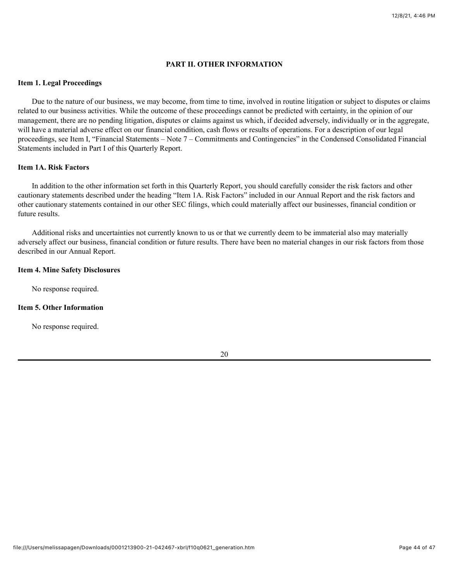## **PART II. OTHER INFORMATION**

#### <span id="page-43-1"></span><span id="page-43-0"></span>**Item 1. Legal Proceedings**

Due to the nature of our business, we may become, from time to time, involved in routine litigation or subject to disputes or claims related to our business activities. While the outcome of these proceedings cannot be predicted with certainty, in the opinion of our management, there are no pending litigation, disputes or claims against us which, if decided adversely, individually or in the aggregate, will have a material adverse effect on our financial condition, cash flows or results of operations. For a description of our legal proceedings, see Item I, "Financial Statements – Note 7 – Commitments and Contingencies" in the Condensed Consolidated Financial Statements included in Part I of this Quarterly Report.

#### <span id="page-43-2"></span>**Item 1A. Risk Factors**

In addition to the other information set forth in this Quarterly Report, you should carefully consider the risk factors and other cautionary statements described under the heading "Item 1A. Risk Factors" included in our Annual Report and the risk factors and other cautionary statements contained in our other SEC filings, which could materially affect our businesses, financial condition or future results.

Additional risks and uncertainties not currently known to us or that we currently deem to be immaterial also may materially adversely affect our business, financial condition or future results. There have been no material changes in our risk factors from those described in our Annual Report.

#### <span id="page-43-3"></span>**Item 4. Mine Safety Disclosures**

No response required.

### **Item 5. Other Information**

No response required.

20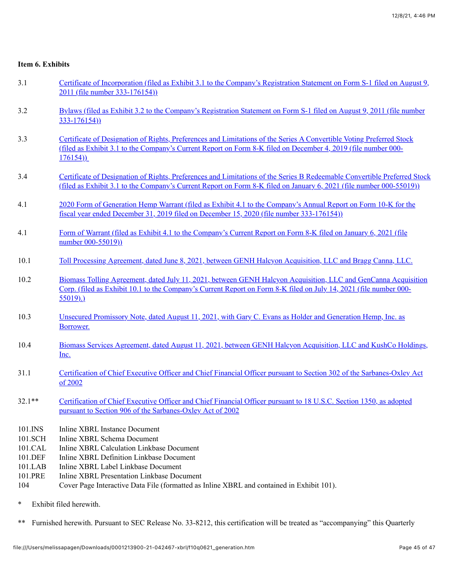# <span id="page-44-0"></span>**Item 6. Exhibits**

- 3.1 [Certificate of Incorporation \(filed as Exhibit 3.1 to the Company's Registration Statement on Form S-1 filed on August 9,](http://www.sec.gov/Archives/edgar/data/1527102/000135448811002514/hometreass1ex31_7282011.htm) 2011 (file number 333-176154))
- 3.2 [Bylaws \(filed as Exhibit 3.2 to the Company's Registration Statement on Form S-1 filed on August 9, 2011 \(file number](http://www.sec.gov/Archives/edgar/data/1527102/000135448811002514/hometreass1ex32_7282011.htm) 333-176154))
- 3.3 [Certificate of Designation of Rights, Preferences and Limitations of the Series A Convertible Voting Preferred Stock](http://www.sec.gov/Archives/edgar/data/1527102/000107997419000612/ex3_1.htm) (filed as Exhibit 3.1 to the Company's Current Report on Form 8-K filed on December 4, 2019 (file number 000- 176154))
- 3.4 [Certificate of Designation of Rights, Preferences and Limitations of the Series B Redeemable Convertible Preferred Stock](http://www.sec.gov/Archives/edgar/data/1527102/000121390021000740/ea132831ex3-1_generation.htm) (filed as Exhibit 3.1 to the Company's Current Report on Form 8-K filed on January 6, 2021 (file number 000-55019))
- 4.1 [2020 Form of Generation Hemp Warrant \(filed as Exhibit 4.1 to the Company's Annual Report on Form 10-K for the](http://www.sec.gov/Archives/edgar/data/1527102/000121390020042822/f10k2019ex4-1_generation.htm) fiscal year ended December 31, 2019 filed on December 15, 2020 (file number 333-176154))
- 4.1 [Form of Warrant \(filed as Exhibit 4.1 to the Company's Current Report on Form 8-K filed on January 6, 2021 \(file](http://www.sec.gov/Archives/edgar/data/1527102/000121390021000740/ea132831ex4-1_generation.htm) number 000-55019))
- 10.1 [Toll Processing Agreement, dated June 8, 2021, between GENH Halcyon Acquisition, LLC and Bragg Canna, LLC.](file:///Users/melissapagen/Downloads/0001213900-21-042467-xbrl/f10q0621ex10-1_generation.htm)
- 10.2 [Biomass Tolling Agreement, dated July 11, 2021, between GENH Halcyon Acquisition, LLC and GenCanna Acquisition](http://www.sec.gov/Archives/edgar/data/1527102/000121390021036795/ea144172ex10-1_generation.htm) Corp. (filed as Exhibit 10.1 to the Company's Current Report on Form 8-K filed on July 14, 2021 (file number 000- 55019).)
- 10.3 [Unsecured Promissory Note, dated August 11, 2021, with Gary C. Evans as Holder and Generation Hemp, Inc. as](file:///Users/melissapagen/Downloads/0001213900-21-042467-xbrl/f10q0621ex10-3_generation.htm) Borrower.
- 10.4 [Biomass Services Agreement, dated August 11, 2021, between GENH Halcyon Acquisition, LLC and KushCo Holdings,](file:///Users/melissapagen/Downloads/0001213900-21-042467-xbrl/f10q0621ex10-4_generation.htm) Inc.
- 31.1 [Certification of Chief Executive Officer and Chief Financial Officer pursuant to Section 302 of the Sarbanes-Oxley Act](file:///Users/melissapagen/Downloads/0001213900-21-042467-xbrl/f10q0621ex31-1_generation.htm) of 2002
- 32.1\*\* [Certification of Chief Executive Officer and Chief Financial Officer pursuant to 18 U.S.C. Section 1350, as adopted](file:///Users/melissapagen/Downloads/0001213900-21-042467-xbrl/f10q0621ex32-1_generation.htm) pursuant to Section 906 of the Sarbanes-Oxley Act of 2002
- 101.INS Inline XBRL Instance Document
- 101.SCH Inline XBRL Schema Document
- 101.CAL Inline XBRL Calculation Linkbase Document
- 101.DEF Inline XBRL Definition Linkbase Document
- 101.LAB Inline XBRL Label Linkbase Document
- 101.PRE Inline XBRL Presentation Linkbase Document
- 104 Cover Page Interactive Data File (formatted as Inline XBRL and contained in Exhibit 101).
- \* Exhibit filed herewith.

\*\* Furnished herewith. Pursuant to SEC Release No. 33-8212, this certification will be treated as "accompanying" this Quarterly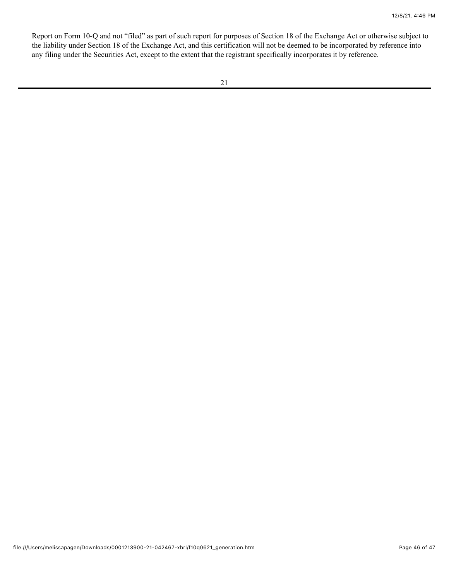Report on Form 10-Q and not "filed" as part of such report for purposes of Section 18 of the Exchange Act or otherwise subject to the liability under Section 18 of the Exchange Act, and this certification will not be deemed to be incorporated by reference into any filing under the Securities Act, except to the extent that the registrant specifically incorporates it by reference.